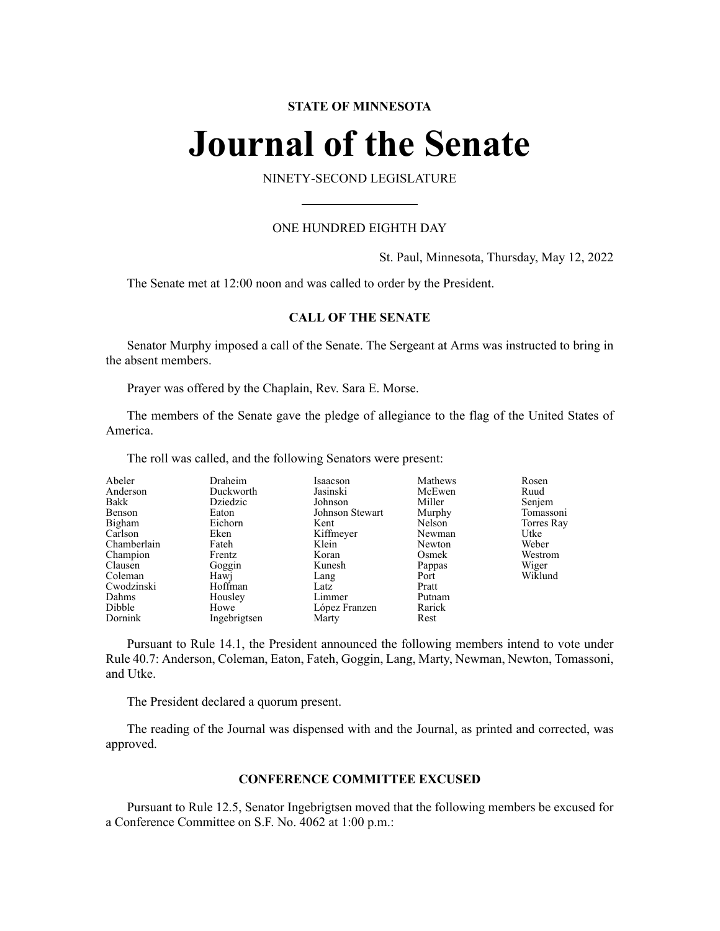# **STATE OF MINNESOTA**

# **Journal of the Senate**

NINETY-SECOND LEGISLATURE

# ONE HUNDRED EIGHTH DAY

St. Paul, Minnesota, Thursday, May 12, 2022

The Senate met at 12:00 noon and was called to order by the President.

# **CALL OF THE SENATE**

Senator Murphy imposed a call of the Senate. The Sergeant at Arms was instructed to bring in the absent members.

Prayer was offered by the Chaplain, Rev. Sara E. Morse.

The members of the Senate gave the pledge of allegiance to the flag of the United States of America.

The roll was called, and the following Senators were present:

| Abeler      | Draheim      | Isaacson        | Mathews | Rosen      |
|-------------|--------------|-----------------|---------|------------|
| Anderson    | Duckworth    | Jasinski        | McEwen  | Ruud       |
| Bakk        | Dziedzic     | Johnson         | Miller  | Senjem     |
| Benson      | Eaton        | Johnson Stewart | Murphy  | Tomassoni  |
| Bigham      | Eichorn      | Kent            | Nelson  | Torres Ray |
| Carlson     | Eken         | Kiffmeyer       | Newman  | Utke       |
| Chamberlain | Fateh        | Klein           | Newton  | Weber      |
| Champion    | Frentz       | Koran           | Osmek   | Westrom    |
| Clausen     | Goggin       | Kunesh          | Pappas  | Wiger      |
| Coleman     | Hawj         | Lang            | Port    | Wiklund    |
| Cwodzinski  | Hoffman      | Latz            | Pratt   |            |
| Dahms       | Housley      | Limmer          | Putnam  |            |
| Dibble      | Howe         | López Franzen   | Rarick  |            |
| Dornink     | Ingebrigtsen | Marty           | Rest    |            |

Pursuant to Rule 14.1, the President announced the following members intend to vote under Rule 40.7: Anderson, Coleman, Eaton, Fateh, Goggin, Lang, Marty, Newman, Newton, Tomassoni, and Utke.

The President declared a quorum present.

The reading of the Journal was dispensed with and the Journal, as printed and corrected, was approved.

## **CONFERENCE COMMITTEE EXCUSED**

Pursuant to Rule 12.5, Senator Ingebrigtsen moved that the following members be excused for a Conference Committee on S.F. No. 4062 at 1:00 p.m.: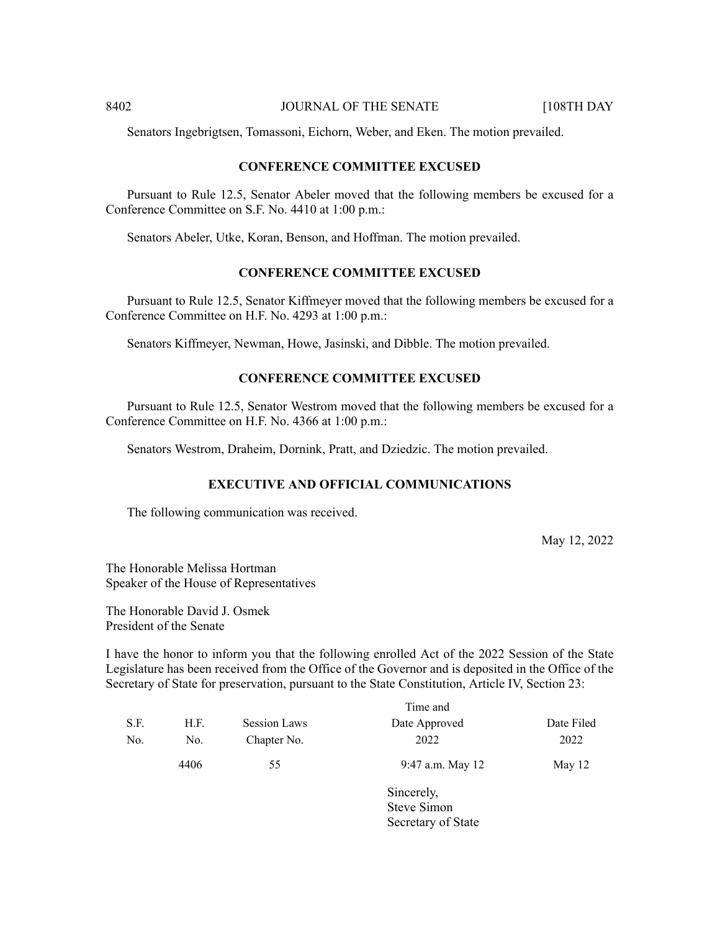Senators Ingebrigtsen, Tomassoni, Eichorn, Weber, and Eken. The motion prevailed.

#### **CONFERENCE COMMITTEE EXCUSED**

Pursuant to Rule 12.5, Senator Abeler moved that the following members be excused for a Conference Committee on S.F. No. 4410 at 1:00 p.m.:

Senators Abeler, Utke, Koran, Benson, and Hoffman. The motion prevailed.

# **CONFERENCE COMMITTEE EXCUSED**

Pursuant to Rule 12.5, Senator Kiffmeyer moved that the following members be excused for a Conference Committee on H.F. No. 4293 at 1:00 p.m.:

Senators Kiffmeyer, Newman, Howe, Jasinski, and Dibble. The motion prevailed.

#### **CONFERENCE COMMITTEE EXCUSED**

Pursuant to Rule 12.5, Senator Westrom moved that the following members be excused for a Conference Committee on H.F. No. 4366 at 1:00 p.m.:

Senators Westrom, Draheim, Dornink, Pratt, and Dziedzic. The motion prevailed.

# **EXECUTIVE AND OFFICIAL COMMUNICATIONS**

The following communication was received.

May 12, 2022

The Honorable Melissa Hortman Speaker of the House of Representatives

The Honorable David J. Osmek President of the Senate

I have the honor to inform you that the following enrolled Act of the 2022 Session of the State Legislature has been received from the Office of the Governor and is deposited in the Office of the Secretary of State for preservation, pursuant to the State Constitution, Article IV, Section 23:

|      |      |                     | Time and         |            |
|------|------|---------------------|------------------|------------|
| S.F. | H.F. | <b>Session Laws</b> | Date Approved    | Date Filed |
| No.  | No.  | Chapter No.         | 2022             | 2022       |
|      | 4406 | 55                  | 9:47 a.m. May 12 | May 12     |
|      |      |                     | Sincerely,       |            |
|      |      |                     | Steve Simon      |            |

Secretary of State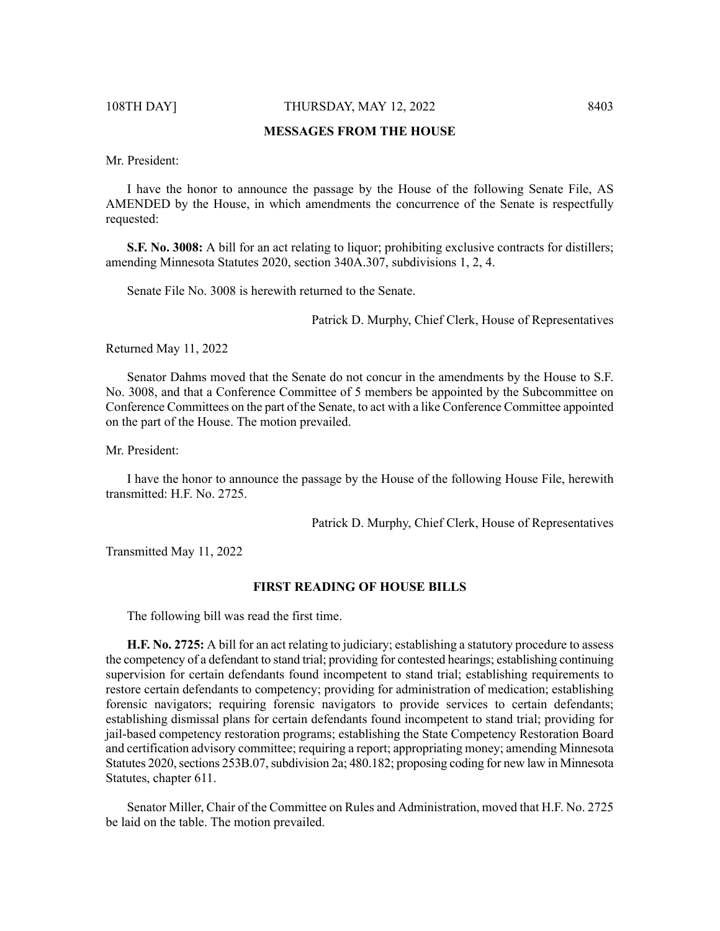108TH DAY] THURSDAY, MAY 12, 2022 8403

# **MESSAGES FROM THE HOUSE**

Mr. President:

I have the honor to announce the passage by the House of the following Senate File, AS AMENDED by the House, in which amendments the concurrence of the Senate is respectfully requested:

**S.F. No. 3008:** A bill for an act relating to liquor; prohibiting exclusive contracts for distillers; amending Minnesota Statutes 2020, section 340A.307, subdivisions 1, 2, 4.

Senate File No. 3008 is herewith returned to the Senate.

Patrick D. Murphy, Chief Clerk, House of Representatives

Returned May 11, 2022

Senator Dahms moved that the Senate do not concur in the amendments by the House to S.F. No. 3008, and that a Conference Committee of 5 members be appointed by the Subcommittee on Conference Committees on the part of the Senate, to act with a like Conference Committee appointed on the part of the House. The motion prevailed.

Mr. President:

I have the honor to announce the passage by the House of the following House File, herewith transmitted: H.F. No. 2725.

Patrick D. Murphy, Chief Clerk, House of Representatives

Transmitted May 11, 2022

### **FIRST READING OF HOUSE BILLS**

The following bill was read the first time.

**H.F. No. 2725:** A bill for an act relating to judiciary; establishing a statutory procedure to assess the competency of a defendant to stand trial; providing for contested hearings; establishing continuing supervision for certain defendants found incompetent to stand trial; establishing requirements to restore certain defendants to competency; providing for administration of medication; establishing forensic navigators; requiring forensic navigators to provide services to certain defendants; establishing dismissal plans for certain defendants found incompetent to stand trial; providing for jail-based competency restoration programs; establishing the State Competency Restoration Board and certification advisory committee; requiring a report; appropriating money; amending Minnesota Statutes 2020, sections 253B.07, subdivision 2a; 480.182; proposing coding for new law in Minnesota Statutes, chapter 611.

Senator Miller, Chair of the Committee on Rules and Administration, moved that H.F. No. 2725 be laid on the table. The motion prevailed.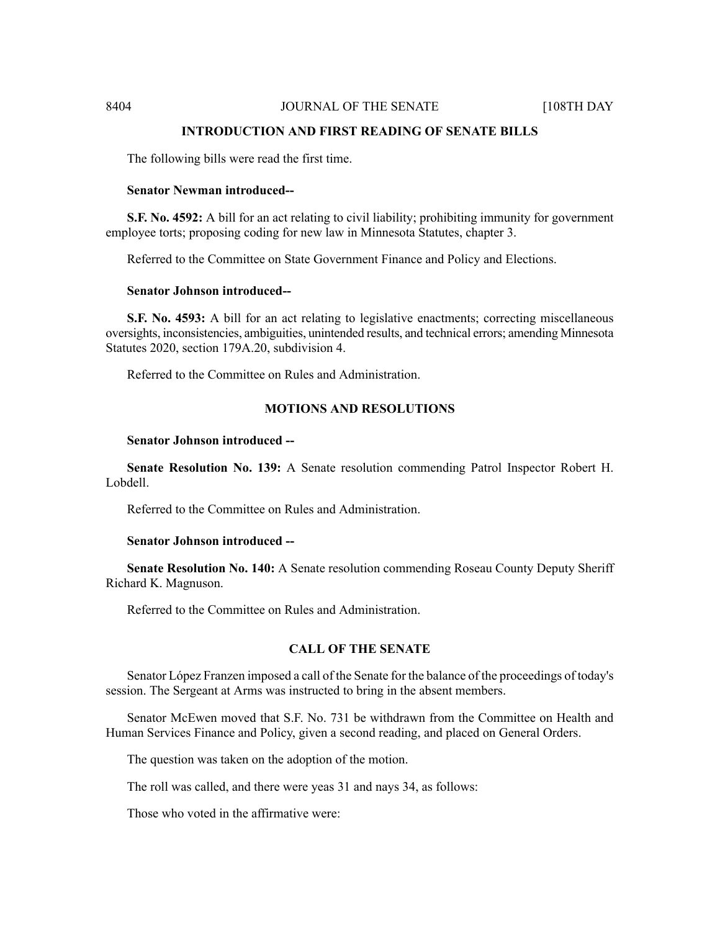#### **INTRODUCTION AND FIRST READING OF SENATE BILLS**

The following bills were read the first time.

#### **Senator Newman introduced--**

**S.F. No. 4592:** A bill for an act relating to civil liability; prohibiting immunity for government employee torts; proposing coding for new law in Minnesota Statutes, chapter 3.

Referred to the Committee on State Government Finance and Policy and Elections.

## **Senator Johnson introduced--**

**S.F. No. 4593:** A bill for an act relating to legislative enactments; correcting miscellaneous oversights, inconsistencies, ambiguities, unintended results, and technical errors; amending Minnesota Statutes 2020, section 179A.20, subdivision 4.

Referred to the Committee on Rules and Administration.

# **MOTIONS AND RESOLUTIONS**

#### **Senator Johnson introduced --**

**Senate Resolution No. 139:** A Senate resolution commending Patrol Inspector Robert H. Lobdell.

Referred to the Committee on Rules and Administration.

#### **Senator Johnson introduced --**

**Senate Resolution No. 140:** A Senate resolution commending Roseau County Deputy Sheriff Richard K. Magnuson.

Referred to the Committee on Rules and Administration.

# **CALL OF THE SENATE**

Senator López Franzen imposed a call of the Senate for the balance of the proceedings of today's session. The Sergeant at Arms was instructed to bring in the absent members.

Senator McEwen moved that S.F. No. 731 be withdrawn from the Committee on Health and Human Services Finance and Policy, given a second reading, and placed on General Orders.

The question was taken on the adoption of the motion.

The roll was called, and there were yeas 31 and nays 34, as follows:

Those who voted in the affirmative were: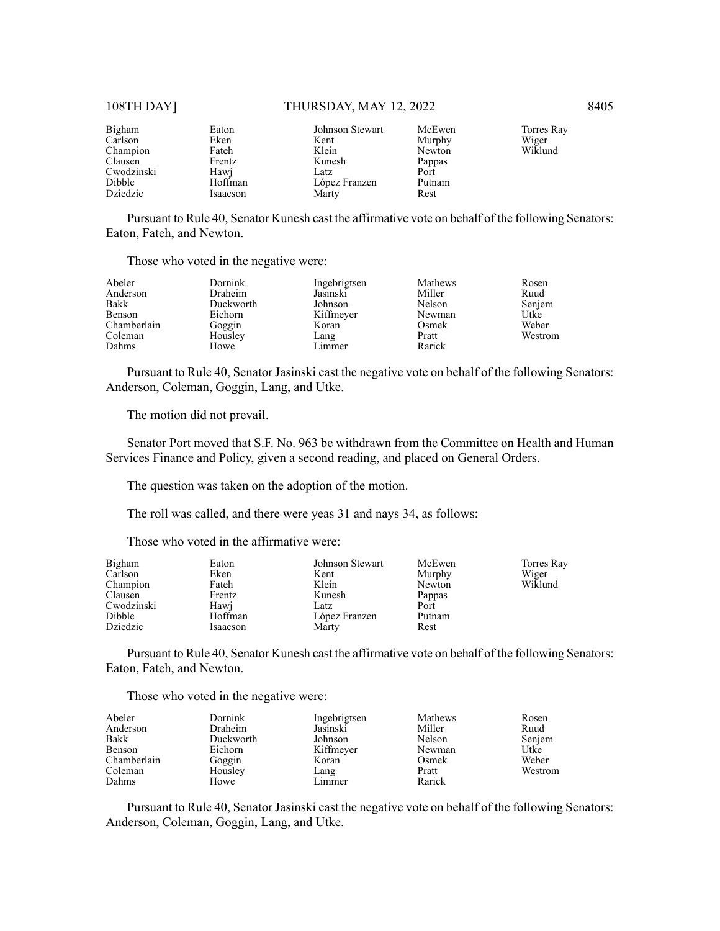# 108TH DAY] THURSDAY, MAY 12, 2022 8405

| Bigham     | Eaton    | Johnson Stewart | McEwen | Torres Ray |
|------------|----------|-----------------|--------|------------|
| Carlson    | Eken     | Kent            | Murphy | Wiger      |
| Champion   | Fateh    | Klein           | Newton | Wiklund    |
| Clausen    | Frentz   | Kunesh          | Pappas |            |
| Cwodzinski | Hawj     | Latz            | Port   |            |
| Dibble     | Hoffman  | López Franzen   | Putnam |            |
| Dziedzic   | Isaacson | Marty           | Rest   |            |

Pursuant to Rule 40, Senator Kunesh cast the affirmative vote on behalf of the following Senators: Eaton, Fateh, and Newton.

Those who voted in the negative were:

| Abeler      | Dornink   | Ingebrigtsen | Mathews | Rosen   |
|-------------|-----------|--------------|---------|---------|
| Anderson    | Draheim   | Jasinski     | Miller  | Ruud    |
| Bakk        | Duckworth | Johnson      | Nelson  | Senjem  |
| Benson      | Eichorn   | Kiffmeyer    | Newman  | Utke    |
| Chamberlain | Goggin    | Koran        | Osmek   | Weber   |
| Coleman     | Housley   | Lang         | Pratt   | Westrom |
| Dahms       | Howe      | Limmer       | Rarick  |         |

Pursuant to Rule 40, Senator Jasinski cast the negative vote on behalf of the following Senators: Anderson, Coleman, Goggin, Lang, and Utke.

The motion did not prevail.

Senator Port moved that S.F. No. 963 be withdrawn from the Committee on Health and Human Services Finance and Policy, given a second reading, and placed on General Orders.

The question was taken on the adoption of the motion.

The roll was called, and there were yeas 31 and nays 34, as follows:

Those who voted in the affirmative were:

| Bigham     | Eaton    | Johnson Stewart | McEwen | Torres Ray |
|------------|----------|-----------------|--------|------------|
| Carlson    | Eken     | Kent            | Murphy | Wiger      |
| Champion   | Fateh    | Klein           | Newton | Wiklund    |
| Clausen    | Frentz   | Kunesh          | Pappas |            |
| Cwodzinski | Hawi     | Latz            | Port   |            |
| Dibble     | Hoffman  | López Franzen   | Putnam |            |
| Dziedzic   | Isaacson | Marty           | Rest   |            |

Pursuant to Rule 40, Senator Kunesh cast the affirmative vote on behalf of the following Senators: Eaton, Fateh, and Newton.

Those who voted in the negative were:

| Abeler      | Dornink   | Ingebrigtsen | <b>Mathews</b> | Rosen   |
|-------------|-----------|--------------|----------------|---------|
| Anderson    | Draheim   | Jasinski     | Miller         | Ruud    |
| Bakk        | Duckworth | Johnson      | Nelson         | Senjem  |
| Benson      | Eichorn   | Kiffmeyer    | Newman         | Utke    |
| Chamberlain | Goggin    | Koran        | Osmek          | Weber   |
| Coleman     | Housley   | Lang         | Pratt          | Westrom |
| Dahms       | Howe      | Limmer       | Rarick         |         |

Pursuant to Rule 40, Senator Jasinski cast the negative vote on behalf of the following Senators: Anderson, Coleman, Goggin, Lang, and Utke.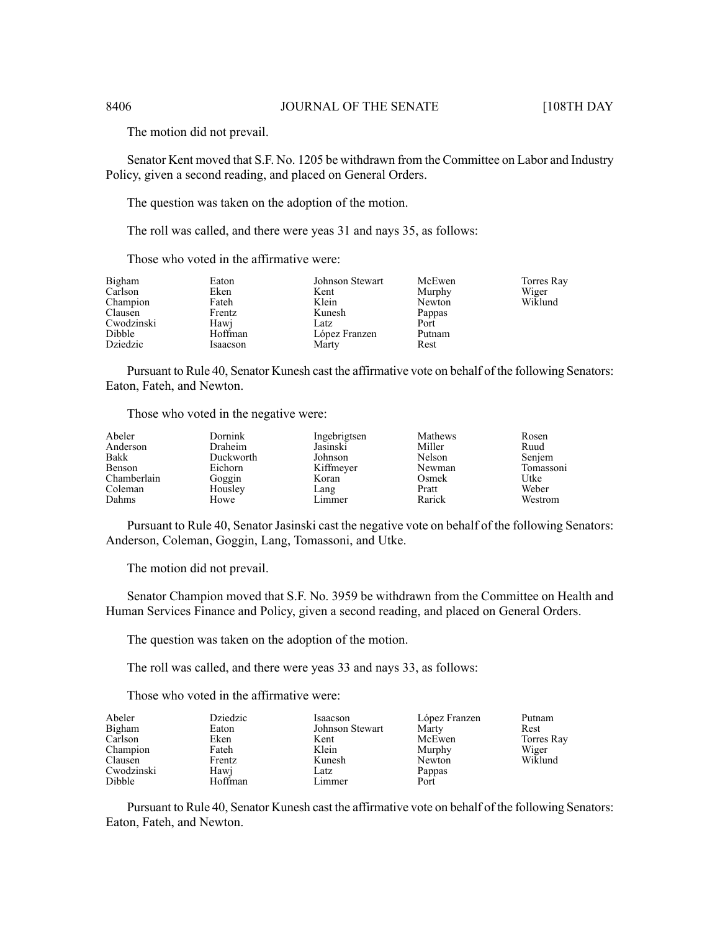The motion did not prevail.

Senator Kent moved that S.F. No. 1205 be withdrawn from the Committee on Labor and Industry Policy, given a second reading, and placed on General Orders.

The question was taken on the adoption of the motion.

The roll was called, and there were yeas 31 and nays 35, as follows:

Those who voted in the affirmative were:

| Bigham     | Eaton    | Johnson Stewart | McEwen | Torres Ray |
|------------|----------|-----------------|--------|------------|
| Carlson    | Eken     | Kent            | Murphy | Wiger      |
| Champion   | Fateh    | Klein           | Newton | Wiklund    |
| Clausen    | Frentz   | Kunesh          | Pappas |            |
| Cwodzinski | Hawj     | Latz            | Port   |            |
| Dibble     | Hoffman  | López Franzen   | Putnam |            |
| Dziedzic   | Isaacson | Marty           | Rest   |            |

Pursuant to Rule 40, Senator Kunesh cast the affirmative vote on behalf of the following Senators: Eaton, Fateh, and Newton.

Those who voted in the negative were:

| Abeler      | Dornink   | Ingebrigtsen | Mathews | Rosen     |
|-------------|-----------|--------------|---------|-----------|
| Anderson    | Draheim   | Jasinski     | Miller  | Ruud      |
| Bakk        | Duckworth | Johnson      | Nelson  | Senjem    |
| Benson      | Eichorn   | Kiffmeyer    | Newman  | Tomassoni |
| Chamberlain | Goggin    | Koran        | Osmek   | Utke      |
| Coleman     | Housley   | Lang         | Pratt   | Weber     |
| Dahms       | Howe      | Limmer       | Rarick  | Westrom   |

Pursuant to Rule 40, Senator Jasinski cast the negative vote on behalf of the following Senators: Anderson, Coleman, Goggin, Lang, Tomassoni, and Utke.

The motion did not prevail.

Senator Champion moved that S.F. No. 3959 be withdrawn from the Committee on Health and Human Services Finance and Policy, given a second reading, and placed on General Orders.

The question was taken on the adoption of the motion.

The roll was called, and there were yeas 33 and nays 33, as follows:

Those who voted in the affirmative were:

| Abeler     | Dziedzic | Isaacson        | López Franzen | Putnam     |
|------------|----------|-----------------|---------------|------------|
| Bigham     | Eaton    | Johnson Stewart | Marty         | Rest       |
| Carlson    | Eken     | Kent            | McEwen        | Torres Ray |
| Champion   | Fateh    | Klein           | Murphy        | Wiger      |
| Clausen    | Frentz   | Kunesh          | Newton        | Wiklund    |
| Cwodzinski | Hawj     | Latz            | Pappas        |            |
| Dibble     | Hoffman  | Limmer          | Port          |            |

Pursuant to Rule 40, Senator Kunesh cast the affirmative vote on behalf of the following Senators: Eaton, Fateh, and Newton.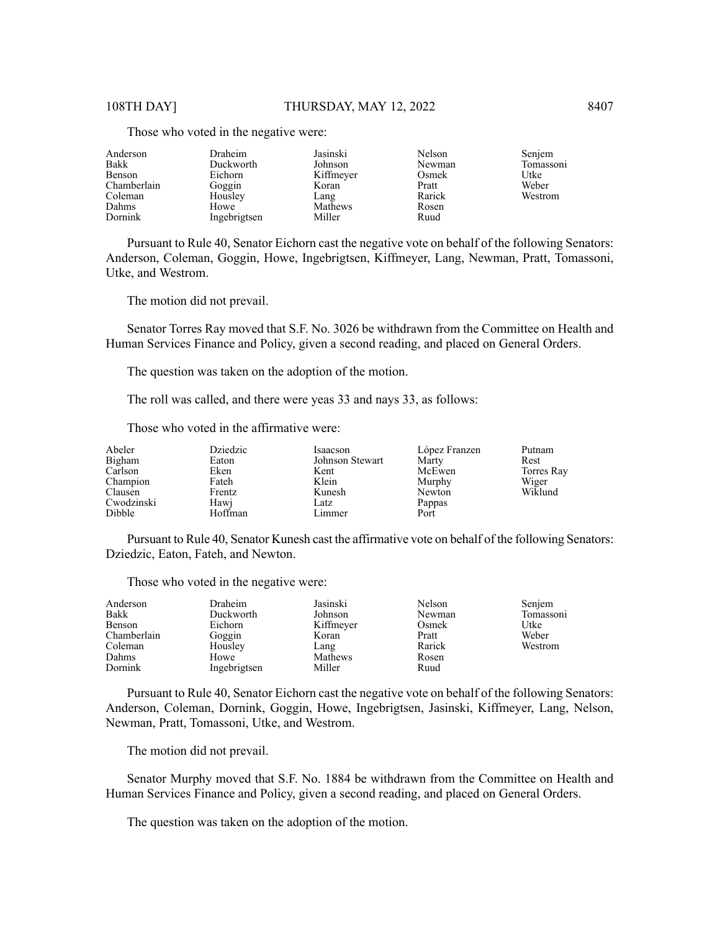| Anderson    | Draheim      | Jasinski  | Nelson | Senjem    |
|-------------|--------------|-----------|--------|-----------|
| Bakk        | Duckworth    | Johnson   | Newman | Tomassoni |
| Benson      | Eichorn      | Kiffmeyer | Osmek  | Utke      |
| Chamberlain | Goggin       | Koran     | Pratt  | Weber     |
| Coleman     | Housley      | Lang      | Rarick | Westrom   |
| Dahms       | Howe         | Mathews   | Rosen  |           |
| Dornink     | Ingebrigtsen | Miller    | Ruud   |           |

Those who voted in the negative were:

Pursuant to Rule 40, Senator Eichorn cast the negative vote on behalf of the following Senators: Anderson, Coleman, Goggin, Howe, Ingebrigtsen, Kiffmeyer, Lang, Newman, Pratt, Tomassoni, Utke, and Westrom.

The motion did not prevail.

Senator Torres Ray moved that S.F. No. 3026 be withdrawn from the Committee on Health and Human Services Finance and Policy, given a second reading, and placed on General Orders.

The question was taken on the adoption of the motion.

The roll was called, and there were yeas 33 and nays 33, as follows:

Those who voted in the affirmative were:

| Abeler                                      | Dziedzic                           | Isaacson                          | López Franzen                      | Putnam           |
|---------------------------------------------|------------------------------------|-----------------------------------|------------------------------------|------------------|
| Bigham                                      | Eaton                              | Johnson Stewart                   | Marty                              | Rest             |
| Carlson                                     | Eken                               | Kent                              | McEwen                             | Torres Ray       |
| Champion<br>Clausen<br>Cwodzinski<br>Dibble | Fateh<br>Frentz<br>Hawi<br>Hoffman | Klein<br>Kunesh<br>Latz<br>Limmer | Murphy<br>Newton<br>Pappas<br>Port | Wiger<br>Wiklund |

Pursuant to Rule 40, Senator Kunesh cast the affirmative vote on behalf of the following Senators: Dziedzic, Eaton, Fateh, and Newton.

Those who voted in the negative were:

| Anderson<br>Bakk<br>Benson<br>Chamberlain<br>Coleman<br>Dahms | Draheim<br>Duckworth<br>Eichorn<br>Goggin<br>Housley<br>Howe | Jasinski<br>Johnson<br>Kiffmeyer<br>Koran<br>Lang<br>Mathews | Nelson<br>Newman<br>Osmek<br>Pratt<br>Rarick<br>Rosen | Senjem<br>Tomassoni<br>Utke<br>Weber<br>Westrom |
|---------------------------------------------------------------|--------------------------------------------------------------|--------------------------------------------------------------|-------------------------------------------------------|-------------------------------------------------|
| Dornink                                                       | Ingebrigtsen                                                 | Miller                                                       | Ruud                                                  |                                                 |

Pursuant to Rule 40, Senator Eichorn cast the negative vote on behalf of the following Senators: Anderson, Coleman, Dornink, Goggin, Howe, Ingebrigtsen, Jasinski, Kiffmeyer, Lang, Nelson, Newman, Pratt, Tomassoni, Utke, and Westrom.

The motion did not prevail.

Senator Murphy moved that S.F. No. 1884 be withdrawn from the Committee on Health and Human Services Finance and Policy, given a second reading, and placed on General Orders.

The question was taken on the adoption of the motion.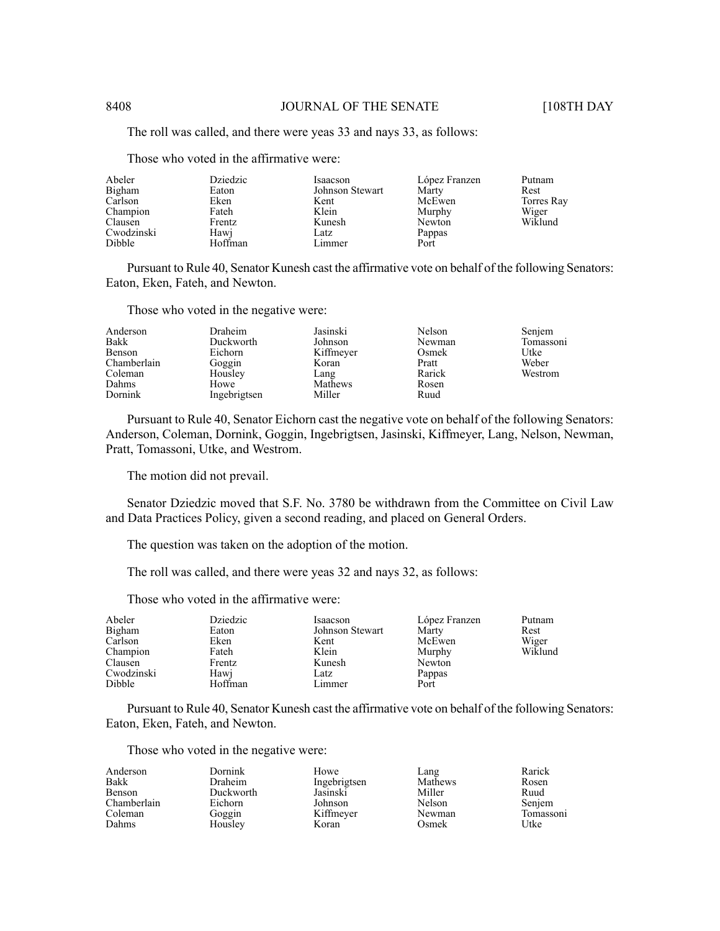The roll was called, and there were yeas 33 and nays 33, as follows:

Abeler Bigham Carlson Champion Clausen Cwodzinski Dibble Dziedzic Eaton Eken Fateh Frentz Hawj Hoffman Isaacson Johnson Stewart Kent Klein Kunesh Latz Limmer López Franzen Marty McEwen Murphy Newton Pappas Port Putnam Rest Torres Ray Wiger Wiklund

Pursuant to Rule 40, Senator Kunesh cast the affirmative vote on behalf of the following Senators: Eaton, Eken, Fateh, and Newton.

Those who voted in the negative were:

Those who voted in the affirmative were:

| Anderson    | Draheim      | Jasinski  | Nelson | Senjem    |
|-------------|--------------|-----------|--------|-----------|
| Bakk        | Duckworth    | Johnson   | Newman | Tomassoni |
| Benson      | Eichorn      | Kiffmeyer | Osmek  | Utke      |
| Chamberlain | Goggin       | Koran     | Pratt  | Weber     |
| Coleman     | Housley      | Lang      | Rarick | Westrom   |
| Dahms       | Howe         | Mathews   | Rosen  |           |
| Dornink     | Ingebrigtsen | Miller    | Ruud   |           |

Pursuant to Rule 40, Senator Eichorn cast the negative vote on behalf of the following Senators: Anderson, Coleman, Dornink, Goggin, Ingebrigtsen, Jasinski, Kiffmeyer, Lang, Nelson, Newman, Pratt, Tomassoni, Utke, and Westrom.

The motion did not prevail.

Senator Dziedzic moved that S.F. No. 3780 be withdrawn from the Committee on Civil Law and Data Practices Policy, given a second reading, and placed on General Orders.

The question was taken on the adoption of the motion.

The roll was called, and there were yeas 32 and nays 32, as follows:

Those who voted in the affirmative were:

| Abeler<br>Bigham<br>Carlson<br>Champion<br>Clausen | Dziedzic<br>Eaton<br>Eken<br>Fateh<br>Frentz | Isaacson<br>Johnson Stewart<br>Kent<br>Klein<br>Kunesh | López Franzen<br>Marty<br>McEwen<br>Murphy<br>Newton | Putnam<br>Rest<br>Wiger<br>Wiklund |
|----------------------------------------------------|----------------------------------------------|--------------------------------------------------------|------------------------------------------------------|------------------------------------|
| Cwodzinski                                         | Hawj                                         | Latz                                                   | Pappas                                               |                                    |
| Dibble                                             | Hoffman                                      | Limmer                                                 | Port                                                 |                                    |

Pursuant to Rule 40, Senator Kunesh cast the affirmative vote on behalf of the following Senators: Eaton, Eken, Fateh, and Newton.

Those who voted in the negative were:

| Anderson    | Dornink   | Howe         | Lang    | Rarick    |
|-------------|-----------|--------------|---------|-----------|
| Bakk        | Draheim   | Ingebrigtsen | Mathews | Rosen     |
| Benson      | Duckworth | Jasinski     | Miller  | Ruud      |
| Chamberlain | Eichorn   | Johnson      | Nelson  | Senjem    |
| Coleman     | Goggin    | Kiffmeyer    | Newman  | Tomassoni |
| Dahms       | Housley   | Koran        | Osmek   | Utke      |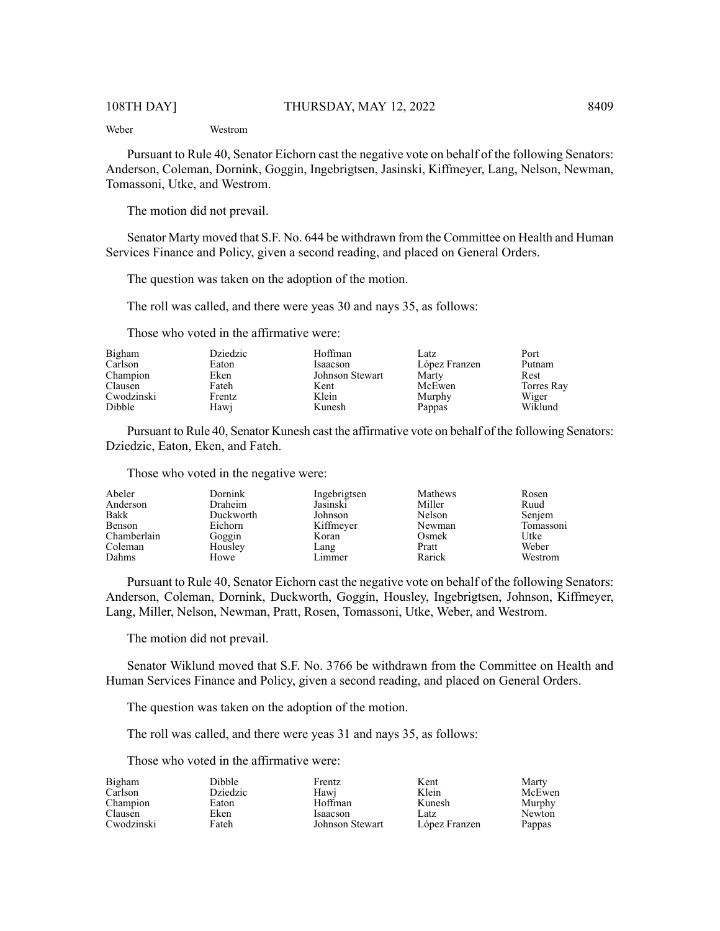Weber Westrom

Pursuant to Rule 40, Senator Eichorn cast the negative vote on behalf of the following Senators: Anderson, Coleman, Dornink, Goggin, Ingebrigtsen, Jasinski, Kiffmeyer, Lang, Nelson, Newman, Tomassoni, Utke, and Westrom.

The motion did not prevail.

Senator Marty moved that S.F. No. 644 be withdrawn from the Committee on Health and Human Services Finance and Policy, given a second reading, and placed on General Orders.

The question was taken on the adoption of the motion.

The roll was called, and there were yeas 30 and nays 35, as follows:

Those who voted in the affirmative were:

| Bigham     | Dziedzic | Hoffman         | Latz          | Port       |
|------------|----------|-----------------|---------------|------------|
| Carlson    | Eaton    | Isaacson        | López Franzen | Putnam     |
| Champion   | Eken     | Johnson Stewart | Marty         | Rest       |
| Clausen    | Fateh    | Kent            | McEwen        | Torres Ray |
| Cwodzinski | Frentz   | Klein           | Murphy        | Wiger      |
| Dibble     | Hawi     | Kunesh          | Pappas        | Wiklund    |

Pursuant to Rule 40, Senator Kunesh cast the affirmative vote on behalf of the following Senators: Dziedzic, Eaton, Eken, and Fateh.

Those who voted in the negative were:

| Abeler      | <b>Dornink</b> | Ingebrigtsen | <b>Mathews</b> | Rosen     |
|-------------|----------------|--------------|----------------|-----------|
| Anderson    | Draheim        | Jasinski     | Miller         | Ruud      |
| Bakk        | Duckworth      | Johnson      | Nelson         | Senjem    |
| Benson      | Eichorn        | Kiffmeyer    | Newman         | Tomassoni |
| Chamberlain | Goggin         | Koran        | Osmek          | Utke      |
| Coleman     | Housley        | Lang         | Pratt          | Weber     |
| Dahms       | Howe           | Limmer       | Rarick         | Westrom   |

Pursuant to Rule 40, Senator Eichorn cast the negative vote on behalf of the following Senators: Anderson, Coleman, Dornink, Duckworth, Goggin, Housley, Ingebrigtsen, Johnson, Kiffmeyer, Lang, Miller, Nelson, Newman, Pratt, Rosen, Tomassoni, Utke, Weber, and Westrom.

The motion did not prevail.

Senator Wiklund moved that S.F. No. 3766 be withdrawn from the Committee on Health and Human Services Finance and Policy, given a second reading, and placed on General Orders.

The question was taken on the adoption of the motion.

The roll was called, and there were yeas 31 and nays 35, as follows:

Those who voted in the affirmative were:

| Bigham     | <b>Dibble</b> | Frentz          | Kent          | Marty  |
|------------|---------------|-----------------|---------------|--------|
| Carlson    | Dziedzic      | Hawi            | Klein         | McEwen |
| Champion   | Eaton         | Hoffman         | Kunesh        | Murphy |
| Clausen    | Eken          | Isaacson        | Latz          | Newton |
| Cwodzinski | Fateh         | Johnson Stewart | López Franzen | Pappas |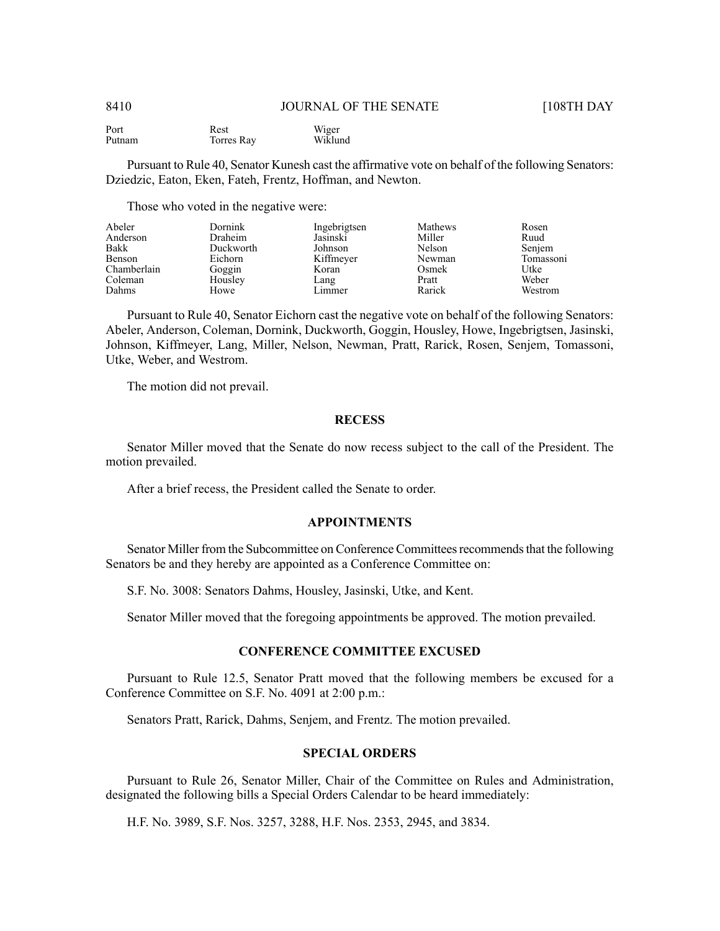Port Putnam Rest Torres Ray Wiger Wiklund

Pursuant to Rule 40, Senator Kunesh cast the affirmative vote on behalf of the following Senators: Dziedzic, Eaton, Eken, Fateh, Frentz, Hoffman, and Newton.

Those who voted in the negative were:

| Abeler      | Dornink   | Ingebrigtsen | Mathews | Rosen     |
|-------------|-----------|--------------|---------|-----------|
| Anderson    | Draheim   | Jasinski     | Miller  | Ruud      |
| Bakk        | Duckworth | Johnson      | Nelson  | Senjem    |
| Benson      | Eichorn   | Kiffmeyer    | Newman  | Tomassoni |
| Chamberlain | Goggin    | Koran        | Osmek   | Utke      |
| Coleman     | Housley   | Lang         | Pratt   | Weber     |
| Dahms       | Howe      | Limmer       | Rarick  | Westrom   |

Pursuant to Rule 40, Senator Eichorn cast the negative vote on behalf of the following Senators: Abeler, Anderson, Coleman, Dornink, Duckworth, Goggin, Housley, Howe, Ingebrigtsen, Jasinski, Johnson, Kiffmeyer, Lang, Miller, Nelson, Newman, Pratt, Rarick, Rosen, Senjem, Tomassoni, Utke, Weber, and Westrom.

The motion did not prevail.

# **RECESS**

Senator Miller moved that the Senate do now recess subject to the call of the President. The motion prevailed.

After a brief recess, the President called the Senate to order.

#### **APPOINTMENTS**

Senator Miller from the Subcommittee on Conference Committees recommends that the following Senators be and they hereby are appointed as a Conference Committee on:

S.F. No. 3008: Senators Dahms, Housley, Jasinski, Utke, and Kent.

Senator Miller moved that the foregoing appointments be approved. The motion prevailed.

#### **CONFERENCE COMMITTEE EXCUSED**

Pursuant to Rule 12.5, Senator Pratt moved that the following members be excused for a Conference Committee on S.F. No. 4091 at 2:00 p.m.:

Senators Pratt, Rarick, Dahms, Senjem, and Frentz. The motion prevailed.

# **SPECIAL ORDERS**

Pursuant to Rule 26, Senator Miller, Chair of the Committee on Rules and Administration, designated the following bills a Special Orders Calendar to be heard immediately:

H.F. No. 3989, S.F. Nos. 3257, 3288, H.F. Nos. 2353, 2945, and 3834.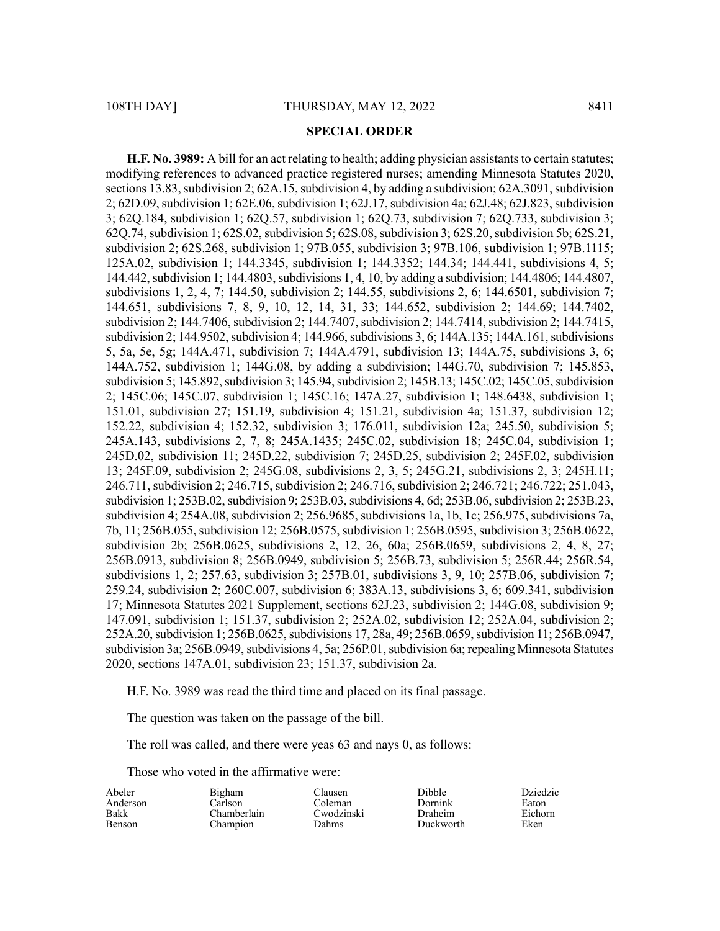#### **SPECIAL ORDER**

**H.F. No. 3989:** A bill for an act relating to health; adding physician assistants to certain statutes; modifying references to advanced practice registered nurses; amending Minnesota Statutes 2020, sections 13.83, subdivision 2;  $62A.15$ , subdivision 4, by adding a subdivision;  $62A.3091$ , subdivision 2; 62D.09, subdivision 1; 62E.06, subdivision 1; 62J.17, subdivision 4a; 62J.48; 62J.823, subdivision 3; 62Q.184, subdivision 1; 62Q.57, subdivision 1; 62Q.73, subdivision 7; 62Q.733, subdivision 3; 62Q.74, subdivision 1; 62S.02, subdivision 5; 62S.08, subdivision 3; 62S.20, subdivision 5b; 62S.21, subdivision 2; 62S.268, subdivision 1; 97B.055, subdivision 3; 97B.106, subdivision 1; 97B.1115; 125A.02, subdivision 1; 144.3345, subdivision 1; 144.3352; 144.34; 144.441, subdivisions 4, 5; 144.442, subdivision 1; 144.4803, subdivisions 1, 4, 10, by adding a subdivision; 144.4806; 144.4807, subdivisions 1, 2, 4, 7; 144.50, subdivision 2; 144.55, subdivisions 2, 6; 144.6501, subdivision 7; 144.651, subdivisions 7, 8, 9, 10, 12, 14, 31, 33; 144.652, subdivision 2; 144.69; 144.7402, subdivision 2; 144.7406, subdivision 2; 144.7407, subdivision 2; 144.7414, subdivision 2; 144.7415, subdivision 2; 144.9502, subdivision 4; 144.966, subdivisions 3, 6; 144A.135; 144A.161, subdivisions 5, 5a, 5e, 5g; 144A.471, subdivision 7; 144A.4791, subdivision 13; 144A.75, subdivisions 3, 6; 144A.752, subdivision 1; 144G.08, by adding a subdivision; 144G.70, subdivision 7; 145.853, subdivision 5; 145.892, subdivision 3; 145.94, subdivision 2; 145B.13; 145C.02; 145C.05, subdivision 2; 145C.06; 145C.07, subdivision 1; 145C.16; 147A.27, subdivision 1; 148.6438, subdivision 1; 151.01, subdivision 27; 151.19, subdivision 4; 151.21, subdivision 4a; 151.37, subdivision 12; 152.22, subdivision 4; 152.32, subdivision 3; 176.011, subdivision 12a; 245.50, subdivision 5; 245A.143, subdivisions 2, 7, 8; 245A.1435; 245C.02, subdivision 18; 245C.04, subdivision 1; 245D.02, subdivision 11; 245D.22, subdivision 7; 245D.25, subdivision 2; 245F.02, subdivision 13; 245F.09, subdivision 2; 245G.08, subdivisions 2, 3, 5; 245G.21, subdivisions 2, 3; 245H.11; 246.711, subdivision 2; 246.715, subdivision 2; 246.716, subdivision 2; 246.721; 246.722; 251.043, subdivision 1; 253B.02, subdivision 9; 253B.03, subdivisions 4, 6d; 253B.06, subdivision 2; 253B.23, subdivision 4; 254A.08, subdivision 2; 256.9685, subdivisions 1a, 1b, 1c; 256.975, subdivisions 7a, 7b, 11; 256B.055, subdivision 12; 256B.0575, subdivision 1; 256B.0595, subdivision 3; 256B.0622, subdivision 2b; 256B.0625, subdivisions 2, 12, 26, 60a; 256B.0659, subdivisions 2, 4, 8, 27; 256B.0913, subdivision 8; 256B.0949, subdivision 5; 256B.73, subdivision 5; 256R.44; 256R.54, subdivisions 1, 2; 257.63, subdivision 3; 257B.01, subdivisions 3, 9, 10; 257B.06, subdivision 7; 259.24, subdivision 2; 260C.007, subdivision 6; 383A.13, subdivisions 3, 6; 609.341, subdivision 17; Minnesota Statutes 2021 Supplement, sections 62J.23, subdivision 2; 144G.08, subdivision 9; 147.091, subdivision 1; 151.37, subdivision 2; 252A.02, subdivision 12; 252A.04, subdivision 2; 252A.20,subdivision 1; 256B.0625,subdivisions 17, 28a, 49; 256B.0659,subdivision 11; 256B.0947, subdivision 3a; 256B.0949, subdivisions 4, 5a; 256P.01, subdivision 6a; repealing Minnesota Statutes 2020, sections 147A.01, subdivision 23; 151.37, subdivision 2a.

H.F. No. 3989 was read the third time and placed on its final passage.

The question was taken on the passage of the bill.

The roll was called, and there were yeas 63 and nays 0, as follows:

Clausen Coleman Cwodzinski Dahms

Those who voted in the affirmative were:

| Abeler        |  |
|---------------|--|
| Anderson      |  |
| <b>Bakk</b>   |  |
| <b>Benson</b> |  |

Bigham Carlson Chamberlain Champion

Dibble Dornink Draheim Duckworth Dziedzic Eaton Eichorn Eken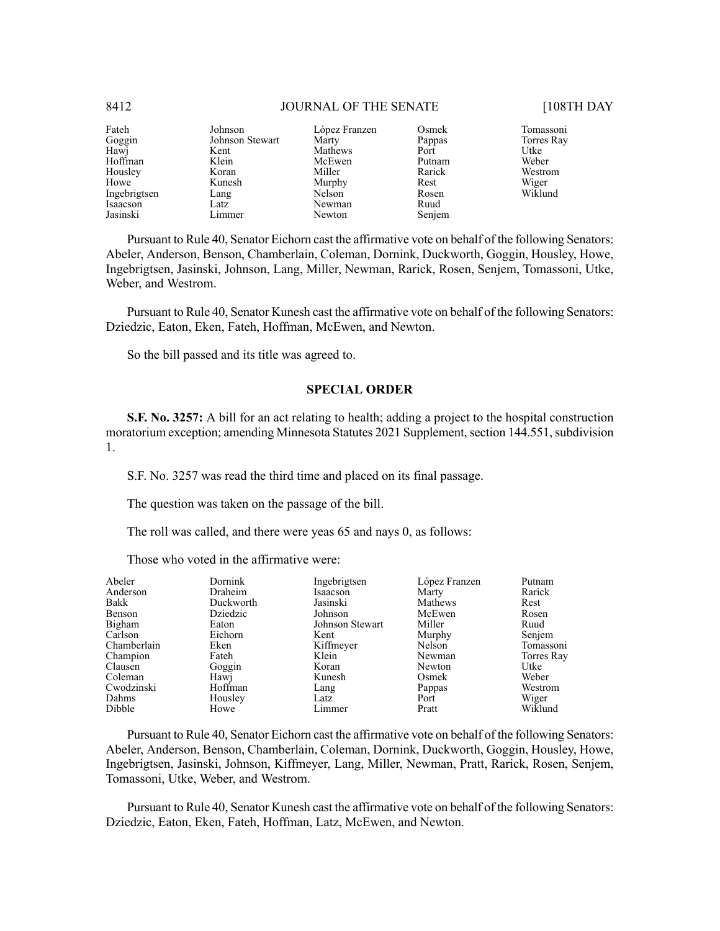#### Fateh Goggin Hawj Hoffman Housley Howe Ingebrigtsen Isaacson Jasinski Johnson Johnson Stewart Kent Klein Koran Kunesh Lang Latz Limmer López Franzen **Marty** Mathews McEwen Miller Murphy Nelson<sup>1</sup> Newman Newton Osmek Pappas Port Putnam Rarick Rest Rosen Ruud Senjem Tomassoni Torres Ray Utke Weber Westrom Wiger Wiklund

Pursuant to Rule 40, Senator Eichorn cast the affirmative vote on behalf of the following Senators: Abeler, Anderson, Benson, Chamberlain, Coleman, Dornink, Duckworth, Goggin, Housley, Howe, Ingebrigtsen, Jasinski, Johnson, Lang, Miller, Newman, Rarick, Rosen, Senjem, Tomassoni, Utke, Weber, and Westrom.

Pursuant to Rule 40, Senator Kunesh cast the affirmative vote on behalf of the following Senators: Dziedzic, Eaton, Eken, Fateh, Hoffman, McEwen, and Newton.

So the bill passed and its title was agreed to.

### **SPECIAL ORDER**

**S.F. No. 3257:** A bill for an act relating to health; adding a project to the hospital construction moratorium exception; amending Minnesota Statutes 2021 Supplement, section 144.551, subdivision 1.

S.F. No. 3257 was read the third time and placed on its final passage.

The question was taken on the passage of the bill.

The roll was called, and there were yeas 65 and nays 0, as follows:

Those who voted in the affirmative were:

| Abeler      | Dornink   | Ingebrigtsen    | López Franzen | Putnam     |
|-------------|-----------|-----------------|---------------|------------|
| Anderson    | Draheim   | Isaacson        | Marty         | Rarick     |
| Bakk        | Duckworth | Jasinski        | Mathews       | Rest       |
| Benson      | Dziedzic  | Johnson         | McEwen        | Rosen      |
| Bigham      | Eaton     | Johnson Stewart | Miller        | Ruud       |
| Carlson     | Eichorn   | Kent            | Murphy        | Senjem     |
| Chamberlain | Eken      | Kiffmeyer       | Nelson        | Tomassoni  |
| Champion    | Fateh     | Klein           | Newman        | Torres Ray |
| Clausen     | Goggin    | Koran           | Newton        | Utke       |
| Coleman     | Hawj      | Kunesh          | Osmek         | Weber      |
| Cwodzinski  | Hoffman   | Lang            | Pappas        | Westrom    |
| Dahms       | Housley   | Latz            | Port          | Wiger      |
| Dibble      | Howe      | Limmer          | Pratt         | Wiklund    |

Pursuant to Rule 40, Senator Eichorn cast the affirmative vote on behalf of the following Senators: Abeler, Anderson, Benson, Chamberlain, Coleman, Dornink, Duckworth, Goggin, Housley, Howe, Ingebrigtsen, Jasinski, Johnson, Kiffmeyer, Lang, Miller, Newman, Pratt, Rarick, Rosen, Senjem, Tomassoni, Utke, Weber, and Westrom.

Pursuant to Rule 40, Senator Kunesh cast the affirmative vote on behalf of the following Senators: Dziedzic, Eaton, Eken, Fateh, Hoffman, Latz, McEwen, and Newton.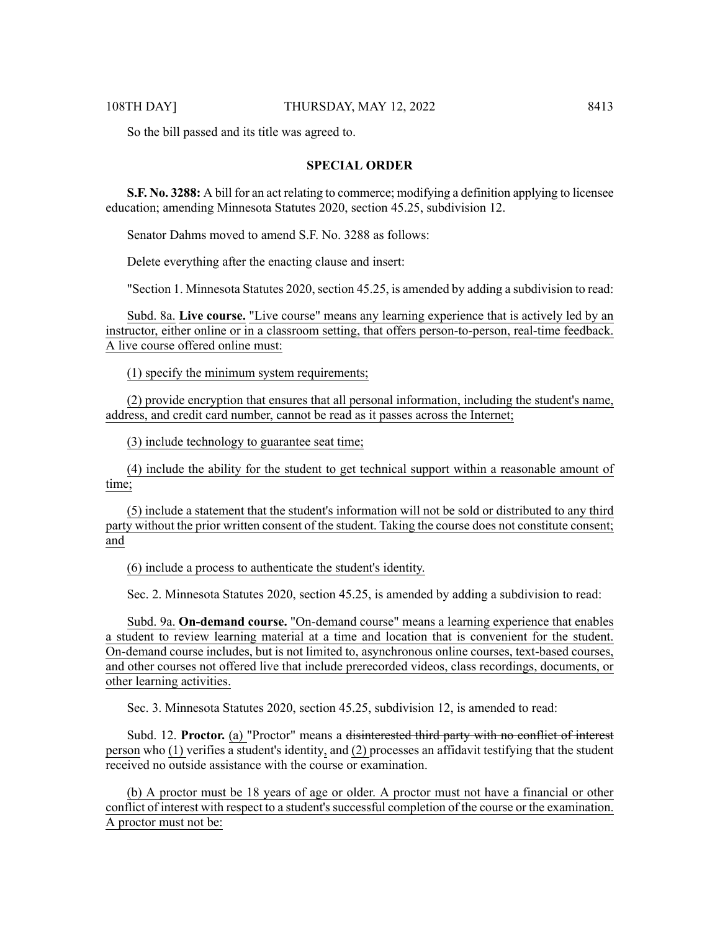So the bill passed and its title was agreed to.

#### **SPECIAL ORDER**

**S.F. No. 3288:** A bill for an act relating to commerce; modifying a definition applying to licensee education; amending Minnesota Statutes 2020, section 45.25, subdivision 12.

Senator Dahms moved to amend S.F. No. 3288 as follows:

Delete everything after the enacting clause and insert:

"Section 1. Minnesota Statutes 2020, section  $45.25$ , is amended by adding a subdivision to read:

Subd. 8a. **Live course.** "Live course" means any learning experience that is actively led by an instructor, either online or in a classroom setting, that offers person-to-person, real-time feedback. A live course offered online must:

(1) specify the minimum system requirements;

(2) provide encryption that ensures that all personal information, including the student's name, address, and credit card number, cannot be read as it passes across the Internet;

(3) include technology to guarantee seat time;

(4) include the ability for the student to get technical support within a reasonable amount of time;

(5) include a statement that the student's information will not be sold or distributed to any third party without the prior written consent of the student. Taking the course does not constitute consent; and

(6) include a process to authenticate the student's identity.

Sec. 2. Minnesota Statutes 2020, section 45.25, is amended by adding a subdivision to read:

Subd. 9a. **On-demand course.** "On-demand course" means a learning experience that enables a student to review learning material at a time and location that is convenient for the student. On-demand course includes, but is not limited to, asynchronous online courses, text-based courses, and other courses not offered live that include prerecorded videos, class recordings, documents, or other learning activities.

Sec. 3. Minnesota Statutes 2020, section 45.25, subdivision 12, is amended to read:

Subd. 12. **Proctor.** (a) "Proctor" means a disinterested third party with no conflict of interest person who (1) verifies a student's identity, and (2) processes an affidavit testifying that the student received no outside assistance with the course or examination.

(b) A proctor must be 18 years of age or older. A proctor must not have a financial or other conflict of interest with respect to a student's successful completion of the course or the examination. A proctor must not be: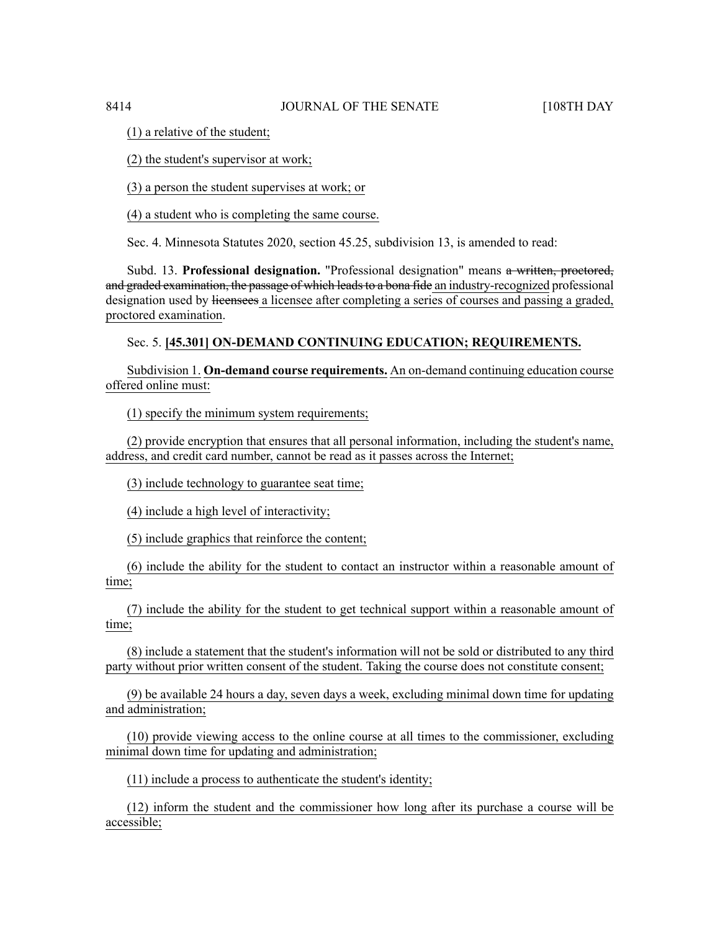(1) a relative of the student;

(2) the student's supervisor at work;

(3) a person the student supervises at work; or

(4) a student who is completing the same course.

Sec. 4. Minnesota Statutes 2020, section 45.25, subdivision 13, is amended to read:

Subd. 13. **Professional designation.** "Professional designation" means a written, proctored, and graded examination, the passage of which leads to a bona fide an industry-recognized professional designation used by licensees a licensee after completing a series of courses and passing a graded, proctored examination.

# Sec. 5. **[45.301] ON-DEMAND CONTINUING EDUCATION; REQUIREMENTS.**

Subdivision 1. **On-demand course requirements.** An on-demand continuing education course offered online must:

(1) specify the minimum system requirements;

(2) provide encryption that ensures that all personal information, including the student's name, address, and credit card number, cannot be read as it passes across the Internet;

(3) include technology to guarantee seat time;

(4) include a high level of interactivity;

(5) include graphics that reinforce the content;

(6) include the ability for the student to contact an instructor within a reasonable amount of time;

(7) include the ability for the student to get technical support within a reasonable amount of time;

(8) include a statement that the student's information will not be sold or distributed to any third party without prior written consent of the student. Taking the course does not constitute consent;

(9) be available 24 hours a day, seven days a week, excluding minimal down time for updating and administration;

(10) provide viewing access to the online course at all times to the commissioner, excluding minimal down time for updating and administration;

(11) include a process to authenticate the student's identity;

(12) inform the student and the commissioner how long after its purchase a course will be accessible;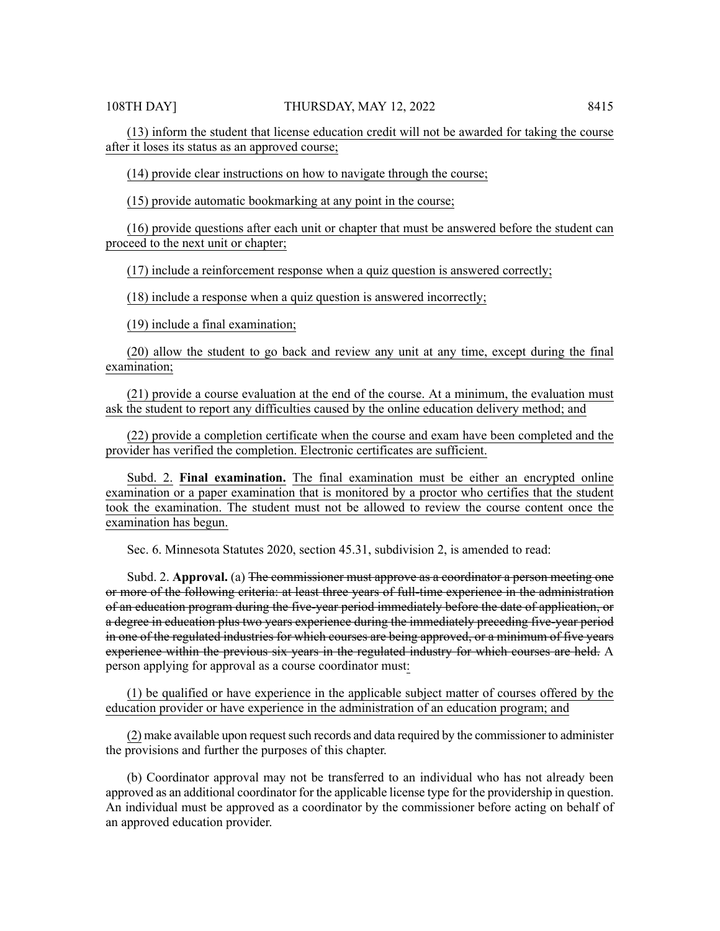(13) inform the student that license education credit will not be awarded for taking the course after it loses its status as an approved course;

(14) provide clear instructions on how to navigate through the course;

(15) provide automatic bookmarking at any point in the course;

(16) provide questions after each unit or chapter that must be answered before the student can proceed to the next unit or chapter;

(17) include a reinforcement response when a quiz question is answered correctly;

(18) include a response when a quiz question is answered incorrectly;

(19) include a final examination;

(20) allow the student to go back and review any unit at any time, except during the final examination;

(21) provide a course evaluation at the end of the course. At a minimum, the evaluation must ask the student to report any difficulties caused by the online education delivery method; and

(22) provide a completion certificate when the course and exam have been completed and the provider has verified the completion. Electronic certificates are sufficient.

Subd. 2. **Final examination.** The final examination must be either an encrypted online examination or a paper examination that is monitored by a proctor who certifies that the student took the examination. The student must not be allowed to review the course content once the examination has begun.

Sec. 6. Minnesota Statutes 2020, section 45.31, subdivision 2, is amended to read:

Subd. 2. **Approval.** (a) <del>The commissioner must approve as a coordinator a person meeting one</del> or more of the following criteria: at least three years of full-time experience in the administration of an education program during the five-year period immediately before the date of application, or a degree in education plus two years experience during the immediately preceding five-year period in one of the regulated industries for which courses are being approved, or a minimum of five years experience within the previous six years in the regulated industry for which courses are held. A person applying for approval as a course coordinator must:

(1) be qualified or have experience in the applicable subject matter of courses offered by the education provider or have experience in the administration of an education program; and

 $(2)$  make available upon request such records and data required by the commissioner to administer the provisions and further the purposes of this chapter.

(b) Coordinator approval may not be transferred to an individual who has not already been approved as an additional coordinator for the applicable license type for the providership in question. An individual must be approved as a coordinator by the commissioner before acting on behalf of an approved education provider.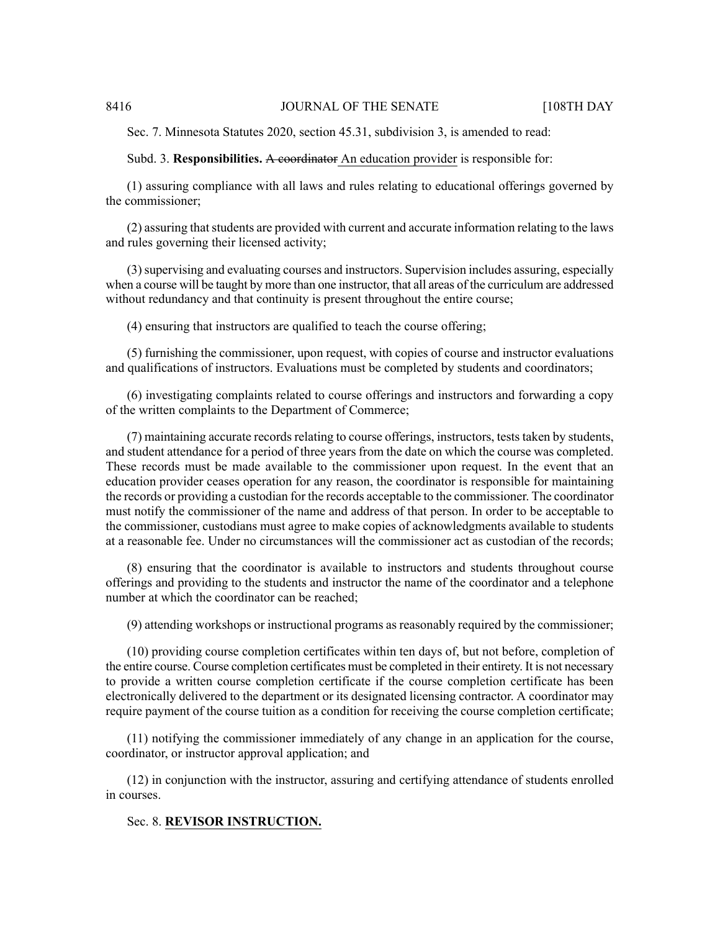Sec. 7. Minnesota Statutes 2020, section 45.31, subdivision 3, is amended to read:

#### Subd. 3. **Responsibilities.** A coordinator An education provider is responsible for:

(1) assuring compliance with all laws and rules relating to educational offerings governed by the commissioner;

 $(2)$  assuring that students are provided with current and accurate information relating to the laws and rules governing their licensed activity;

(3)supervising and evaluating courses and instructors. Supervision includes assuring, especially when a course will be taught by more than one instructor, that all areas of the curriculum are addressed without redundancy and that continuity is present throughout the entire course;

(4) ensuring that instructors are qualified to teach the course offering;

(5) furnishing the commissioner, upon request, with copies of course and instructor evaluations and qualifications of instructors. Evaluations must be completed by students and coordinators;

(6) investigating complaints related to course offerings and instructors and forwarding a copy of the written complaints to the Department of Commerce;

(7) maintaining accurate records relating to course offerings, instructors, tests taken by students, and student attendance for a period of three years from the date on which the course was completed. These records must be made available to the commissioner upon request. In the event that an education provider ceases operation for any reason, the coordinator is responsible for maintaining the records or providing a custodian for the records acceptable to the commissioner. The coordinator must notify the commissioner of the name and address of that person. In order to be acceptable to the commissioner, custodians must agree to make copies of acknowledgments available to students at a reasonable fee. Under no circumstances will the commissioner act as custodian of the records;

(8) ensuring that the coordinator is available to instructors and students throughout course offerings and providing to the students and instructor the name of the coordinator and a telephone number at which the coordinator can be reached;

(9) attending workshops or instructional programs as reasonably required by the commissioner;

(10) providing course completion certificates within ten days of, but not before, completion of the entire course. Course completion certificates must be completed in their entirety. It is not necessary to provide a written course completion certificate if the course completion certificate has been electronically delivered to the department or its designated licensing contractor. A coordinator may require payment of the course tuition as a condition for receiving the course completion certificate;

(11) notifying the commissioner immediately of any change in an application for the course, coordinator, or instructor approval application; and

(12) in conjunction with the instructor, assuring and certifying attendance of students enrolled in courses.

#### Sec. 8. **REVISOR INSTRUCTION.**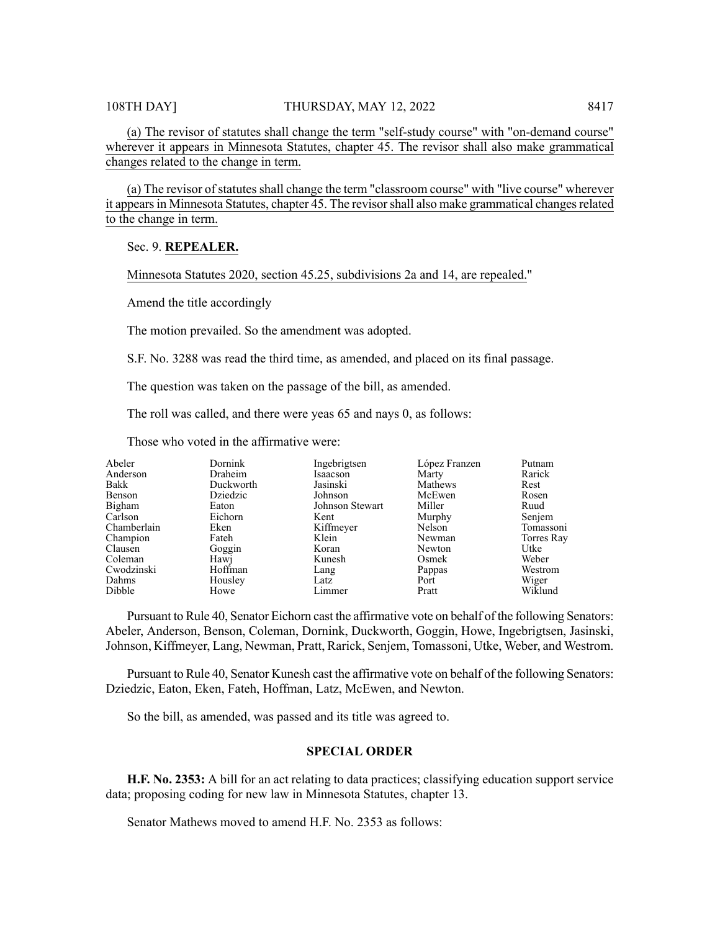(a) The revisor of statutes shall change the term "self-study course" with "on-demand course" wherever it appears in Minnesota Statutes, chapter 45. The revisor shall also make grammatical changes related to the change in term.

(a) The revisor of statutes shall change the term "classroom course" with "live course" wherever it appears in Minnesota Statutes, chapter 45. The revisor shall also make grammatical changes related to the change in term.

#### Sec. 9. **REPEALER.**

Minnesota Statutes 2020, section 45.25, subdivisions 2a and 14, are repealed."

Amend the title accordingly

The motion prevailed. So the amendment was adopted.

S.F. No. 3288 was read the third time, as amended, and placed on its final passage.

The question was taken on the passage of the bill, as amended.

The roll was called, and there were yeas 65 and nays 0, as follows:

Those who voted in the affirmative were:

| Abeler<br>Dornink<br>Ingebrigtsen<br>López Franzen | Putnam     |
|----------------------------------------------------|------------|
| Anderson<br>Draheim<br>Isaacson<br>Marty           | Rarick     |
| Bakk<br>Duckworth<br>Jasinski<br>Mathews           | Rest       |
| Benson<br>Dziedzic<br>Johnson<br>McEwen            | Rosen      |
| Bigham<br>Miller<br>Johnson Stewart<br>Eaton       | Ruud       |
| Carlson<br>Eichorn<br>Kent<br>Murphy               | Senjem     |
| Chamberlain<br>Kiffmeyer<br>Nelson<br>Eken         | Tomassoni  |
| Champion<br>Klein<br>Fateh<br>Newman               | Torres Ray |
| Clausen<br>Goggin<br>Koran<br>Newton               | Utke       |
| Coleman<br>Hawj<br>Kunesh<br>Osmek                 | Weber      |
| Hoffman<br>Cwodzinski<br>Pappas<br>Lang            | Westrom    |
| Dahms<br>Housley<br>Latz<br>Port                   | Wiger      |
| Dibble<br>Pratt<br>Howe<br>Limmer                  | Wiklund    |

Pursuant to Rule 40, Senator Eichorn cast the affirmative vote on behalf of the following Senators: Abeler, Anderson, Benson, Coleman, Dornink, Duckworth, Goggin, Howe, Ingebrigtsen, Jasinski, Johnson, Kiffmeyer, Lang, Newman, Pratt, Rarick, Senjem, Tomassoni, Utke, Weber, and Westrom.

Pursuant to Rule 40, Senator Kunesh cast the affirmative vote on behalf of the following Senators: Dziedzic, Eaton, Eken, Fateh, Hoffman, Latz, McEwen, and Newton.

So the bill, as amended, was passed and its title was agreed to.

#### **SPECIAL ORDER**

**H.F. No. 2353:** A bill for an act relating to data practices; classifying education support service data; proposing coding for new law in Minnesota Statutes, chapter 13.

Senator Mathews moved to amend H.F. No. 2353 as follows: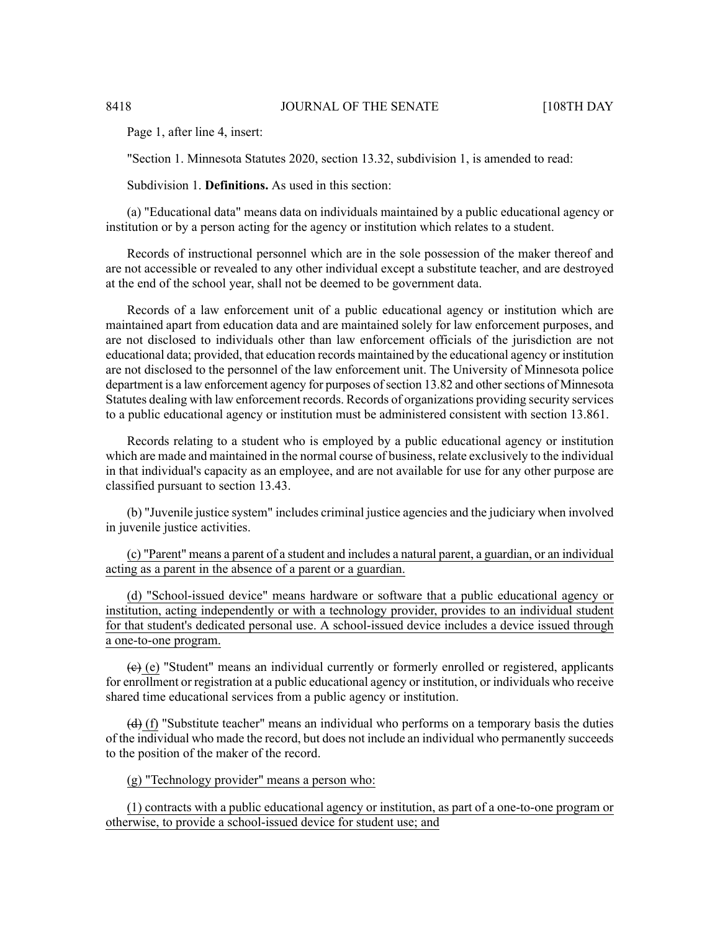Page 1, after line 4, insert:

"Section 1. Minnesota Statutes 2020, section 13.32, subdivision 1, is amended to read:

Subdivision 1. **Definitions.** As used in this section:

(a) "Educational data" means data on individuals maintained by a public educational agency or institution or by a person acting for the agency or institution which relates to a student.

Records of instructional personnel which are in the sole possession of the maker thereof and are not accessible or revealed to any other individual except a substitute teacher, and are destroyed at the end of the school year, shall not be deemed to be government data.

Records of a law enforcement unit of a public educational agency or institution which are maintained apart from education data and are maintained solely for law enforcement purposes, and are not disclosed to individuals other than law enforcement officials of the jurisdiction are not educational data; provided, that education records maintained by the educational agency or institution are not disclosed to the personnel of the law enforcement unit. The University of Minnesota police department is a law enforcement agency for purposes of section 13.82 and other sections of Minnesota Statutes dealing with law enforcement records. Records of organizations providing security services to a public educational agency or institution must be administered consistent with section 13.861.

Records relating to a student who is employed by a public educational agency or institution which are made and maintained in the normal course of business, relate exclusively to the individual in that individual's capacity as an employee, and are not available for use for any other purpose are classified pursuant to section 13.43.

(b) "Juvenile justice system" includes criminal justice agencies and the judiciary when involved in juvenile justice activities.

(c) "Parent" means a parent of a student and includes a natural parent, a guardian, or an individual acting as a parent in the absence of a parent or a guardian.

(d) "School-issued device" means hardware or software that a public educational agency or institution, acting independently or with a technology provider, provides to an individual student for that student's dedicated personal use. A school-issued device includes a device issued through a one-to-one program.

 $(e)$  (e) "Student" means an individual currently or formerly enrolled or registered, applicants for enrollment or registration at a public educational agency or institution, or individuals who receive shared time educational services from a public agency or institution.

(d) (f) "Substitute teacher" means an individual who performs on a temporary basis the duties of the individual who made the record, but does not include an individual who permanently succeeds to the position of the maker of the record.

(g) "Technology provider" means a person who:

(1) contracts with a public educational agency or institution, as part of a one-to-one program or otherwise, to provide a school-issued device for student use; and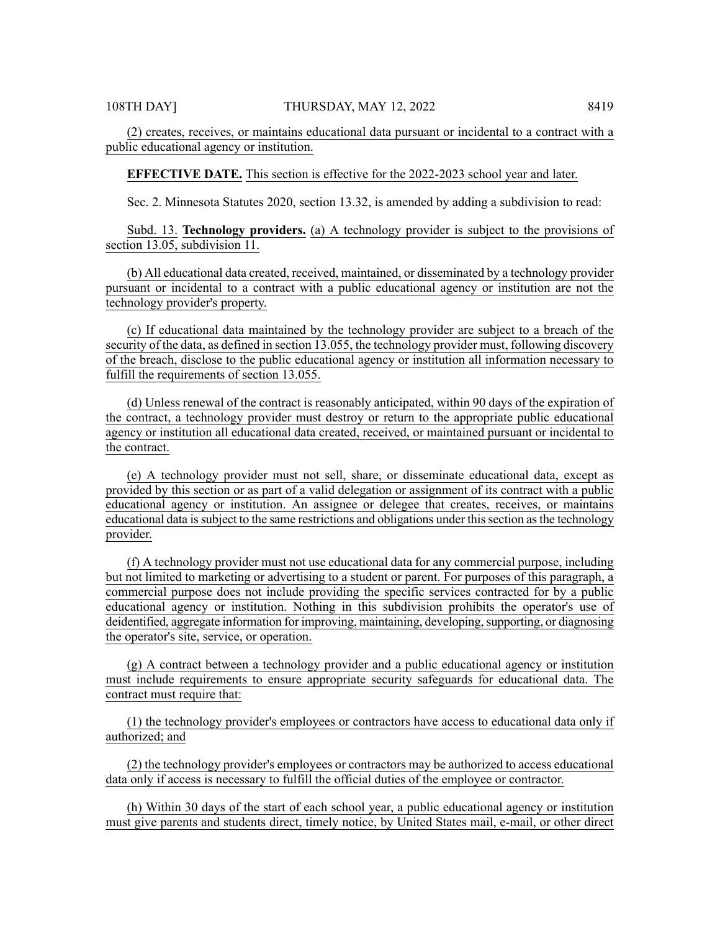**EFFECTIVE DATE.** This section is effective for the 2022-2023 school year and later.

Sec. 2. Minnesota Statutes 2020, section 13.32, is amended by adding a subdivision to read:

Subd. 13. **Technology providers.** (a) A technology provider is subject to the provisions of section 13.05, subdivision 11.

(b) All educational data created, received, maintained, or disseminated by a technology provider pursuant or incidental to a contract with a public educational agency or institution are not the technology provider's property.

(c) If educational data maintained by the technology provider are subject to a breach of the security of the data, as defined in section 13.055, the technology provider must, following discovery of the breach, disclose to the public educational agency or institution all information necessary to fulfill the requirements of section 13.055.

(d) Unless renewal of the contract is reasonably anticipated, within 90 days of the expiration of the contract, a technology provider must destroy or return to the appropriate public educational agency or institution all educational data created, received, or maintained pursuant or incidental to the contract.

(e) A technology provider must not sell, share, or disseminate educational data, except as provided by this section or as part of a valid delegation or assignment of its contract with a public educational agency or institution. An assignee or delegee that creates, receives, or maintains educational data issubject to the same restrictions and obligations under thissection asthe technology provider.

(f) A technology provider must not use educational data for any commercial purpose, including but not limited to marketing or advertising to a student or parent. For purposes of this paragraph, a commercial purpose does not include providing the specific services contracted for by a public educational agency or institution. Nothing in this subdivision prohibits the operator's use of deidentified, aggregate information for improving, maintaining, developing, supporting, or diagnosing the operator's site, service, or operation.

(g) A contract between a technology provider and a public educational agency or institution must include requirements to ensure appropriate security safeguards for educational data. The contract must require that:

(1) the technology provider's employees or contractors have access to educational data only if authorized; and

(2) the technology provider's employees or contractors may be authorized to access educational data only if access is necessary to fulfill the official duties of the employee or contractor.

(h) Within 30 days of the start of each school year, a public educational agency or institution must give parents and students direct, timely notice, by United States mail, e-mail, or other direct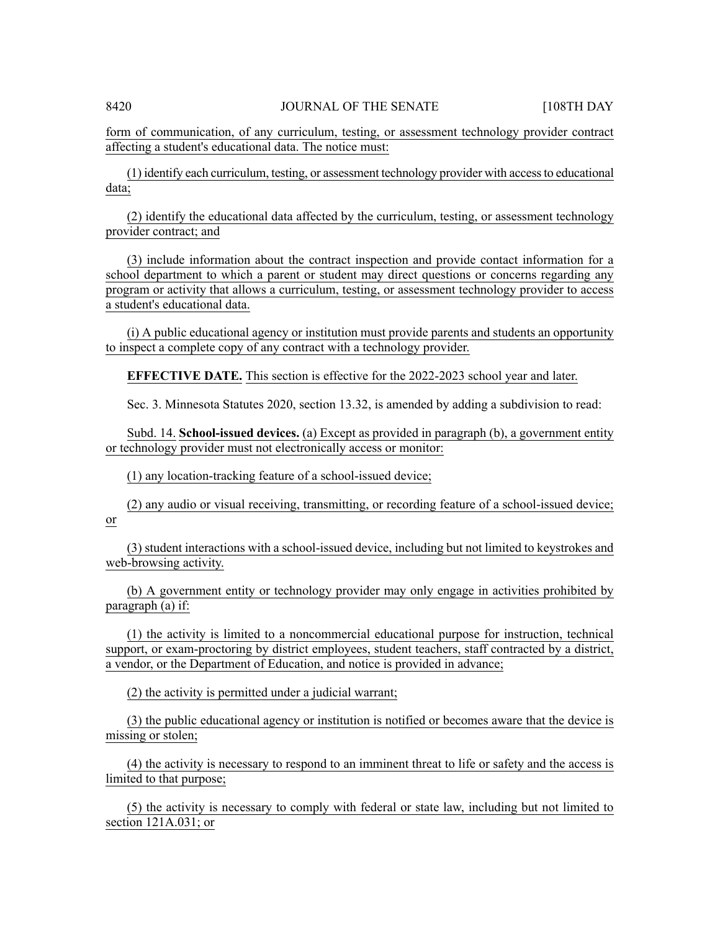form of communication, of any curriculum, testing, or assessment technology provider contract affecting a student's educational data. The notice must:

(1) identify each curriculum, testing, or assessment technology provider with accessto educational data;

(2) identify the educational data affected by the curriculum, testing, or assessment technology provider contract; and

(3) include information about the contract inspection and provide contact information for a school department to which a parent or student may direct questions or concerns regarding any program or activity that allows a curriculum, testing, or assessment technology provider to access a student's educational data.

(i) A public educational agency or institution must provide parents and students an opportunity to inspect a complete copy of any contract with a technology provider.

**EFFECTIVE DATE.** This section is effective for the 2022-2023 school year and later.

Sec. 3. Minnesota Statutes 2020, section 13.32, is amended by adding a subdivision to read:

Subd. 14. **School-issued devices.** (a) Except as provided in paragraph (b), a government entity or technology provider must not electronically access or monitor:

(1) any location-tracking feature of a school-issued device;

(2) any audio or visual receiving, transmitting, or recording feature of a school-issued device; or

(3) student interactions with a school-issued device, including but not limited to keystrokes and web-browsing activity.

(b) A government entity or technology provider may only engage in activities prohibited by paragraph (a) if:

(1) the activity is limited to a noncommercial educational purpose for instruction, technical support, or exam-proctoring by district employees, student teachers, staff contracted by a district, a vendor, or the Department of Education, and notice is provided in advance;

(2) the activity is permitted under a judicial warrant;

(3) the public educational agency or institution is notified or becomes aware that the device is missing or stolen;

(4) the activity is necessary to respond to an imminent threat to life or safety and the access is limited to that purpose;

(5) the activity is necessary to comply with federal or state law, including but not limited to section 121A.031; or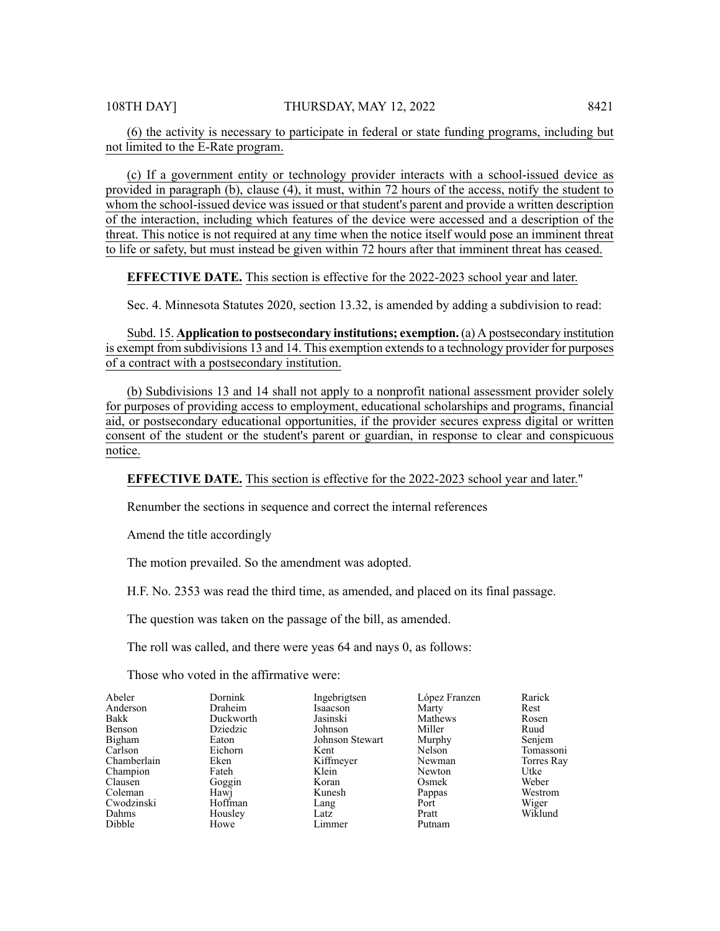(6) the activity is necessary to participate in federal or state funding programs, including but not limited to the E-Rate program.

(c) If a government entity or technology provider interacts with a school-issued device as provided in paragraph (b), clause (4), it must, within 72 hours of the access, notify the student to whom the school-issued device was issued or that student's parent and provide a written description of the interaction, including which features of the device were accessed and a description of the threat. This notice is not required at any time when the notice itself would pose an imminent threat to life or safety, but must instead be given within 72 hours after that imminent threat has ceased.

**EFFECTIVE DATE.** This section is effective for the 2022-2023 school year and later.

Sec. 4. Minnesota Statutes 2020, section 13.32, is amended by adding a subdivision to read:

Subd. 15. **Application to postsecondary institutions; exemption.** (a) A postsecondary institution is exempt from subdivisions 13 and 14. This exemption extends to a technology provider for purposes of a contract with a postsecondary institution.

(b) Subdivisions 13 and 14 shall not apply to a nonprofit national assessment provider solely for purposes of providing access to employment, educational scholarships and programs, financial aid, or postsecondary educational opportunities, if the provider secures express digital or written consent of the student or the student's parent or guardian, in response to clear and conspicuous notice.

**EFFECTIVE DATE.** This section is effective for the 2022-2023 school year and later."

Renumber the sections in sequence and correct the internal references

Amend the title accordingly

The motion prevailed. So the amendment was adopted.

H.F. No. 2353 was read the third time, as amended, and placed on its final passage.

The question was taken on the passage of the bill, as amended.

The roll was called, and there were yeas 64 and nays 0, as follows:

Those who voted in the affirmative were:

| Abeler      | Dornink   | Ingebrigtsen    | López Franzen | Rarick     |
|-------------|-----------|-----------------|---------------|------------|
| Anderson    | Draheim   | Isaacson        | Marty         | Rest       |
| Bakk        | Duckworth | Jasinski        | Mathews       | Rosen      |
| Benson      | Dziedzic  | Johnson         | Miller        | Ruud       |
| Bigham      | Eaton     | Johnson Stewart | Murphy        | Senjem     |
| Carlson     | Eichorn   | Kent            | Nelson        | Tomassoni  |
| Chamberlain | Eken      | Kiffmeyer       | Newman        | Torres Ray |
| Champion    | Fateh     | Klein           | Newton        | Utke       |
| Clausen     | Goggin    | Koran           | Osmek         | Weber      |
| Coleman     | Hawi      | Kunesh          | Pappas        | Westrom    |
| Cwodzinski  | Hoffman   | Lang            | Port          | Wiger      |
| Dahms       | Housley   | Latz            | Pratt         | Wiklund    |
| Dibble      | Howe      | Limmer          | Putnam        |            |
|             |           |                 |               |            |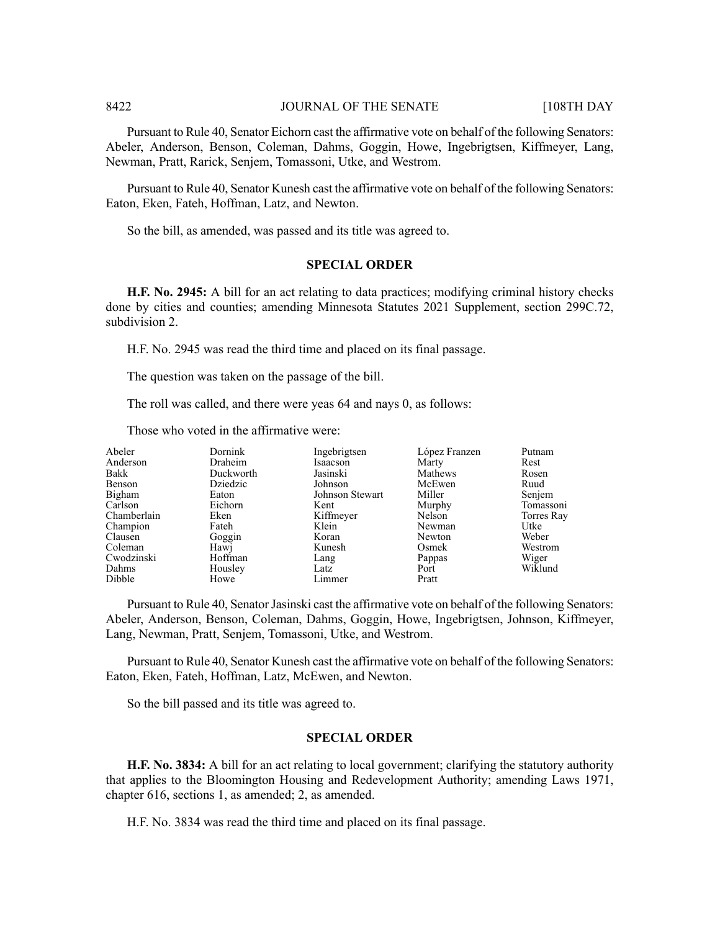Pursuant to Rule 40, Senator Eichorn cast the affirmative vote on behalf of the following Senators: Abeler, Anderson, Benson, Coleman, Dahms, Goggin, Howe, Ingebrigtsen, Kiffmeyer, Lang, Newman, Pratt, Rarick, Senjem, Tomassoni, Utke, and Westrom.

Pursuant to Rule 40, Senator Kunesh cast the affirmative vote on behalf of the following Senators: Eaton, Eken, Fateh, Hoffman, Latz, and Newton.

So the bill, as amended, was passed and its title was agreed to.

## **SPECIAL ORDER**

**H.F. No. 2945:** A bill for an act relating to data practices; modifying criminal history checks done by cities and counties; amending Minnesota Statutes 2021 Supplement, section 299C.72, subdivision 2.

H.F. No. 2945 was read the third time and placed on its final passage.

The question was taken on the passage of the bill.

The roll was called, and there were yeas 64 and nays 0, as follows:

Those who voted in the affirmative were:

| Abeler      | Dornink   | Ingebrigtsen    | López Franzen | Putnam     |
|-------------|-----------|-----------------|---------------|------------|
| Anderson    | Draheim   | Isaacson        | Marty         | Rest       |
| Bakk        | Duckworth | Jasinski        | Mathews       | Rosen      |
| Benson      | Dziedzic  | Johnson         | McEwen        | Ruud       |
| Bigham      | Eaton     | Johnson Stewart | Miller        | Senjem     |
| Carlson     | Eichorn   | Kent            | Murphy        | Tomassoni  |
| Chamberlain | Eken      | Kiffmeyer       | Nelson        | Torres Ray |
| Champion    | Fateh     | Klein           | Newman        | Utke       |
| Clausen     | Goggin    | Koran           | Newton        | Weber      |
| Coleman     | Hawj      | Kunesh          | Osmek         | Westrom    |
| Cwodzinski  | Hoffman   | Lang            | Pappas        | Wiger      |
| Dahms       | Housley   | Latz            | Port          | Wiklund    |
| Dibble      | Howe      | Limmer          | Pratt         |            |

Pursuant to Rule 40, Senator Jasinski cast the affirmative vote on behalf of the following Senators: Abeler, Anderson, Benson, Coleman, Dahms, Goggin, Howe, Ingebrigtsen, Johnson, Kiffmeyer, Lang, Newman, Pratt, Senjem, Tomassoni, Utke, and Westrom.

Pursuant to Rule 40, Senator Kunesh cast the affirmative vote on behalf of the following Senators: Eaton, Eken, Fateh, Hoffman, Latz, McEwen, and Newton.

So the bill passed and its title was agreed to.

#### **SPECIAL ORDER**

**H.F. No. 3834:** A bill for an act relating to local government; clarifying the statutory authority that applies to the Bloomington Housing and Redevelopment Authority; amending Laws 1971, chapter 616, sections 1, as amended; 2, as amended.

H.F. No. 3834 was read the third time and placed on its final passage.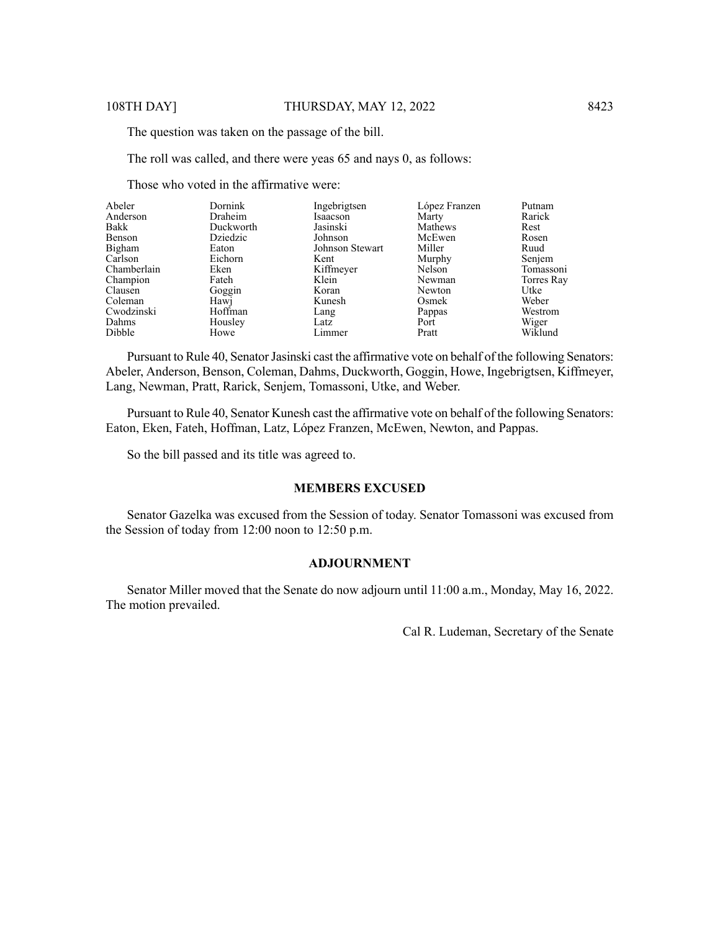The question was taken on the passage of the bill.

The roll was called, and there were yeas 65 and nays 0, as follows:

Those who voted in the affirmative were:

| Abeler      | <b>Dornink</b> | Ingebrigtsen    | López Franzen | Putnam     |
|-------------|----------------|-----------------|---------------|------------|
| Anderson    | Draheim        | Isaacson        | Marty         | Rarick     |
| Bakk        | Duckworth      | Jasinski        | Mathews       | Rest       |
| Benson      | Dziedzic       | Johnson         | McEwen        | Rosen      |
| Bigham      | Eaton          | Johnson Stewart | Miller        | Ruud       |
| Carlson     | Eichorn        | Kent            | Murphy        | Senjem     |
| Chamberlain | Eken           | Kiffmeyer       | Nelson        | Tomassoni  |
| Champion    | Fateh          | Klein           | Newman        | Torres Ray |
| Clausen     | Goggin         | Koran           | Newton        | Utke       |
| Coleman     | Hawj           | Kunesh          | Osmek         | Weber      |
| Cwodzinski  | Hoffman        | Lang            | Pappas        | Westrom    |
| Dahms       | Housley        | Latz            | Port          | Wiger      |
| Dibble      | Howe           | Limmer          | Pratt         | Wiklund    |

Pursuant to Rule 40, Senator Jasinski cast the affirmative vote on behalf of the following Senators: Abeler, Anderson, Benson, Coleman, Dahms, Duckworth, Goggin, Howe, Ingebrigtsen, Kiffmeyer, Lang, Newman, Pratt, Rarick, Senjem, Tomassoni, Utke, and Weber.

Pursuant to Rule 40, Senator Kunesh cast the affirmative vote on behalf of the following Senators: Eaton, Eken, Fateh, Hoffman, Latz, López Franzen, McEwen, Newton, and Pappas.

So the bill passed and its title was agreed to.

## **MEMBERS EXCUSED**

Senator Gazelka was excused from the Session of today. Senator Tomassoni was excused from the Session of today from 12:00 noon to 12:50 p.m.

# **ADJOURNMENT**

Senator Miller moved that the Senate do now adjourn until 11:00 a.m., Monday, May 16, 2022. The motion prevailed.

Cal R. Ludeman, Secretary of the Senate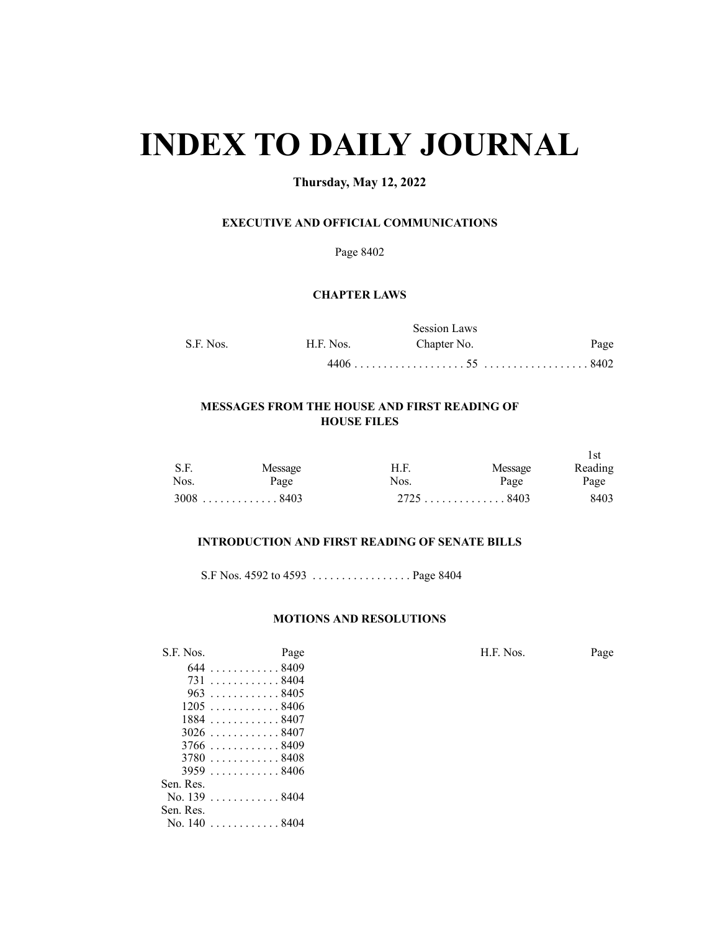# **INDEX TO DAILY JOURNAL**

# **Thursday, May 12, 2022**

# **EXECUTIVE AND OFFICIAL COMMUNICATIONS**

Page 8402

## **CHAPTER LAWS**

|           |           | <b>Session Laws</b> |      |
|-----------|-----------|---------------------|------|
| S.F. Nos. | H.F. Nos. | Chapter No.         | Page |
|           |           |                     |      |

# **MESSAGES FROM THE HOUSE AND FIRST READING OF HOUSE FILES**

| S.F. | Message     | H.F. | Message     | l st<br>Reading |
|------|-------------|------|-------------|-----------------|
| Nos. | Page        | Nos. | Page        | Page            |
|      | $3008$ 8403 |      | $2725$ 8403 | 8403            |

# **INTRODUCTION AND FIRST READING OF SENATE BILLS**

S.F Nos. 4592 to 4593 . . . . . . . . . . . . . . . . . Page 8404

#### **MOTIONS AND RESOLUTIONS**

| S.F. Nos. | Page         | H.F. Nos. | Page |
|-----------|--------------|-----------|------|
|           | 644. 8409    |           |      |
|           | 7318404      |           |      |
|           | $963$ 8405   |           |      |
|           | $1205$ 8406  |           |      |
|           | $1884$ 8407  |           |      |
|           | $3026$ 8407  |           |      |
|           | $3766$ 8409  |           |      |
|           | $3780$ 8408  |           |      |
|           | $3959$ 8406  |           |      |
| Sen. Res. |              |           |      |
|           | No. 139 8404 |           |      |
| Sen. Res. |              |           |      |

. . . . . . . . . . . . 8404 No. 140